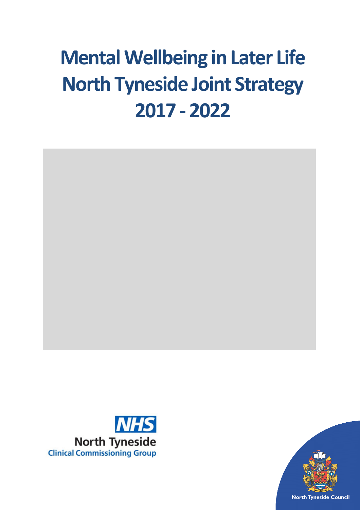# **Mental Wellbeing in Later Life North Tyneside Joint Strategy 2017 - 2022**





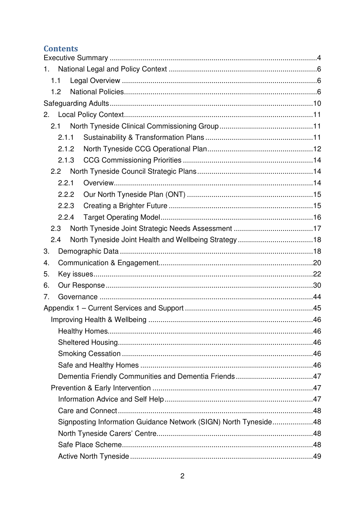## **Contents**

| 1.                                                               |  |  |  |
|------------------------------------------------------------------|--|--|--|
| 1.1                                                              |  |  |  |
| 1.2                                                              |  |  |  |
|                                                                  |  |  |  |
| 2.                                                               |  |  |  |
| 2.1                                                              |  |  |  |
| 2.1.1                                                            |  |  |  |
| 2.1.2                                                            |  |  |  |
| 2.1.3                                                            |  |  |  |
| 2.2                                                              |  |  |  |
| 2.2.1                                                            |  |  |  |
| 2.2.2                                                            |  |  |  |
| 2.2.3                                                            |  |  |  |
| 2.2.4                                                            |  |  |  |
| 2.3                                                              |  |  |  |
| 2.4                                                              |  |  |  |
| 3.                                                               |  |  |  |
| 4.                                                               |  |  |  |
| 5.                                                               |  |  |  |
| 6.                                                               |  |  |  |
| 7.                                                               |  |  |  |
|                                                                  |  |  |  |
|                                                                  |  |  |  |
|                                                                  |  |  |  |
|                                                                  |  |  |  |
|                                                                  |  |  |  |
|                                                                  |  |  |  |
|                                                                  |  |  |  |
|                                                                  |  |  |  |
|                                                                  |  |  |  |
|                                                                  |  |  |  |
| Signposting Information Guidance Network (SIGN) North Tyneside48 |  |  |  |
|                                                                  |  |  |  |
|                                                                  |  |  |  |
|                                                                  |  |  |  |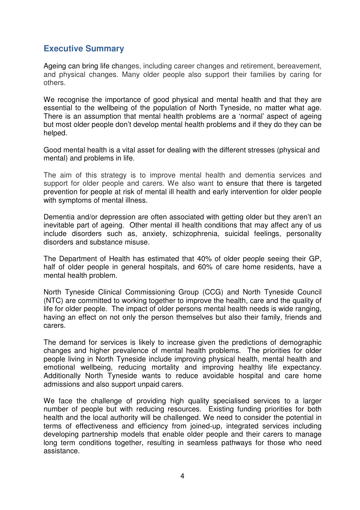## **Executive Summary**

Ageing can bring life changes, including career changes and retirement, bereavement, and physical changes. Many older people also support their families by caring for others.

We recognise the importance of good physical and mental health and that they are essential to the wellbeing of the population of North Tyneside, no matter what age. There is an assumption that mental health problems are a 'normal' aspect of ageing but most older people don't develop mental health problems and if they do they can be helped.

Good mental health is a vital asset for dealing with the different stresses (physical and mental) and problems in life.

The aim of this strategy is to improve mental health and dementia services and support for older people and carers. We also want to ensure that there is targeted prevention for people at risk of mental ill health and early intervention for older people with symptoms of mental illness.

Dementia and/or depression are often associated with getting older but they aren't an inevitable part of ageing. Other mental ill health conditions that may affect any of us include disorders such as, anxiety, schizophrenia, suicidal feelings, personality disorders and substance misuse.

The Department of Health has estimated that 40% of older people seeing their GP, half of older people in general hospitals, and 60% of care home residents, have a mental health problem.

North Tyneside Clinical Commissioning Group (CCG) and North Tyneside Council (NTC) are committed to working together to improve the health, care and the quality of life for older people. The impact of older persons mental health needs is wide ranging, having an effect on not only the person themselves but also their family, friends and carers.

The demand for services is likely to increase given the predictions of demographic changes and higher prevalence of mental health problems. The priorities for older people living in North Tyneside include improving physical health, mental health and emotional wellbeing, reducing mortality and improving healthy life expectancy. Additionally North Tyneside wants to reduce avoidable hospital and care home admissions and also support unpaid carers.

We face the challenge of providing high quality specialised services to a larger number of people but with reducing resources. Existing funding priorities for both health and the local authority will be challenged. We need to consider the potential in terms of effectiveness and efficiency from joined-up, integrated services including developing partnership models that enable older people and their carers to manage long term conditions together, resulting in seamless pathways for those who need assistance.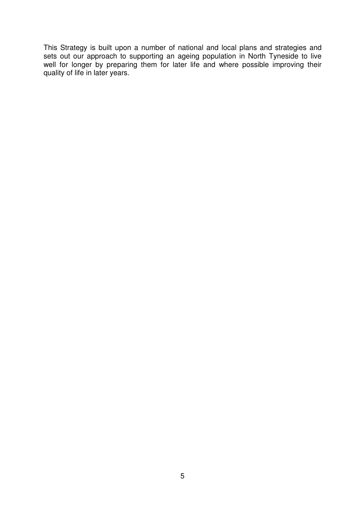This Strategy is built upon a number of national and local plans and strategies and sets out our approach to supporting an ageing population in North Tyneside to live well for longer by preparing them for later life and where possible improving their quality of life in later years.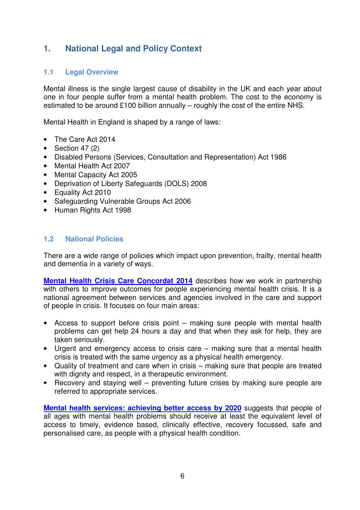## **1. National Legal and Policy Context**

## **1.1 Legal Overview**

Mental illness is the single largest cause of disability in the UK and each year about one in four people suffer from a mental health problem. The cost to the economy is estimated to be around £100 billion annually – roughly the cost of the entire NHS.

Mental Health in England is shaped by a range of laws:

- The Care Act 2014
- Section 47 $(2)$
- Disabled Persons (Services, Consultation and Representation) Act 1986
- Mental Health Act 2007
- Mental Capacity Act 2005
- Deprivation of Liberty Safeguards (DOLS) 2008
- Equality Act 2010
- Safeguarding Vulnerable Groups Act 2006
- Human Rights Act 1998

#### **1.2 National Policies**

There are a wide range of policies which impact upon prevention, frailty, mental health and dementia in a variety of ways.

**Mental Health Crisis Care Concordat 2014** describes how we work in partnership with others to improve outcomes for people experiencing mental health crisis. It is a national agreement between services and agencies involved in the care and support of people in crisis. It focuses on four main areas:

- Access to support before crisis point making sure people with mental health problems can get help 24 hours a day and that when they ask for help, they are taken seriously.
- Urgent and emergency access to crisis care making sure that a mental health crisis is treated with the same urgency as a physical health emergency.
- Quality of treatment and care when in crisis making sure that people are treated with dignity and respect, in a therapeutic environment.
- Recovery and staying well preventing future crises by making sure people are referred to appropriate services.

**Mental health services: achieving better access by 2020** suggests that people of all ages with mental health problems should receive at least the equivalent level of access to timely, evidence based, clinically effective, recovery focussed, safe and personalised care, as people with a physical health condition.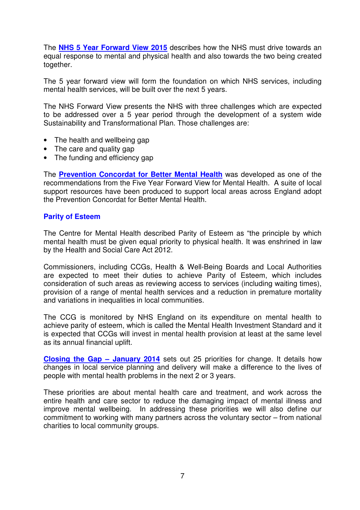The **NHS 5 Year Forward View 2015** describes how the NHS must drive towards an equal response to mental and physical health and also towards the two being created together.

The 5 year forward view will form the foundation on which NHS services, including mental health services, will be built over the next 5 years.

The NHS Forward View presents the NHS with three challenges which are expected to be addressed over a 5 year period through the development of a system wide Sustainability and Transformational Plan. Those challenges are:

- The health and wellbeing gap
- The care and quality gap
- The funding and efficiency gap

The **Prevention Concordat for Better Mental Health** was developed as one of the recommendations from the Five Year Forward View for Mental Health. A suite of local support resources have been produced to support local areas across England adopt the Prevention Concordat for Better Mental Health.

#### **Parity of Esteem**

The Centre for Mental Health described Parity of Esteem as "the principle by which mental health must be given equal priority to physical health. It was enshrined in law by the Health and Social Care Act 2012.

Commissioners, including CCGs, Health & Well-Being Boards and Local Authorities are expected to meet their duties to achieve Parity of Esteem, which includes consideration of such areas as reviewing access to services (including waiting times), provision of a range of mental health services and a reduction in premature mortality and variations in inequalities in local communities.

The CCG is monitored by NHS England on its expenditure on mental health to achieve parity of esteem, which is called the Mental Health Investment Standard and it is expected that CCGs will invest in mental health provision at least at the same level as its annual financial uplift.

**Closing the Gap – January 2014** sets out 25 priorities for change. It details how changes in local service planning and delivery will make a difference to the lives of people with mental health problems in the next 2 or 3 years.

These priorities are about mental health care and treatment, and work across the entire health and care sector to reduce the damaging impact of mental illness and improve mental wellbeing. In addressing these priorities we will also define our commitment to working with many partners across the voluntary sector – from national charities to local community groups.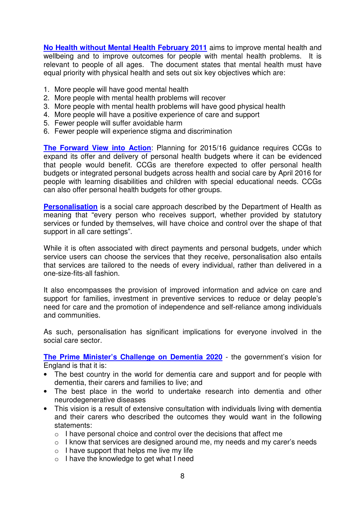**No Health without Mental Health February 2011** aims to improve mental health and wellbeing and to improve outcomes for people with mental health problems. It is relevant to people of all ages. The document states that mental health must have equal priority with physical health and sets out six key objectives which are:

- 1. More people will have good mental health
- 2. More people with mental health problems will recover
- 3. More people with mental health problems will have good physical health
- 4. More people will have a positive experience of care and support
- 5. Fewer people will suffer avoidable harm
- 6. Fewer people will experience stigma and discrimination

**The Forward View into Action**: Planning for 2015/16 guidance requires CCGs to expand its offer and delivery of personal health budgets where it can be evidenced that people would benefit. CCGs are therefore expected to offer personal health budgets or integrated personal budgets across health and social care by April 2016 for people with learning disabilities and children with special educational needs. CCGs can also offer personal health budgets for other groups.

**Personalisation** is a social care approach described by the Department of Health as meaning that "every person who receives support, whether provided by statutory services or funded by themselves, will have choice and control over the shape of that support in all care settings".

While it is often associated with direct payments and personal budgets, under which service users can choose the services that they receive, personalisation also entails that services are tailored to the needs of every individual, rather than delivered in a one-size-fits-all fashion.

It also encompasses the provision of improved information and advice on care and support for families, investment in preventive services to reduce or delay people's need for care and the promotion of independence and self-reliance among individuals and communities.

As such, personalisation has significant implications for everyone involved in the social care sector.

**The Prime Minister's Challenge on Dementia 2020** - the government's vision for England is that it is:

- The best country in the world for dementia care and support and for people with dementia, their carers and families to live; and
- The best place in the world to undertake research into dementia and other neurodegenerative diseases
- This vision is a result of extensive consultation with individuals living with dementia and their carers who described the outcomes they would want in the following statements:
	- $\circ$  I have personal choice and control over the decisions that affect me
	- o I know that services are designed around me, my needs and my carer's needs
	- $\circ$  I have support that helps me live my life
	- o I have the knowledge to get what I need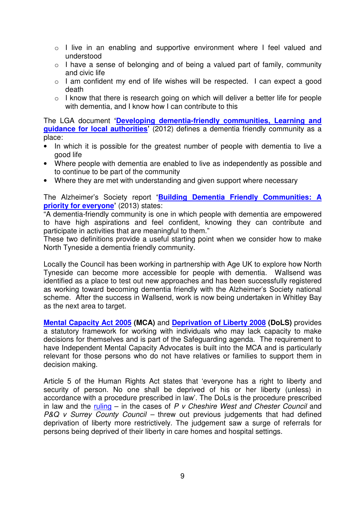- o I live in an enabling and supportive environment where I feel valued and understood
- o I have a sense of belonging and of being a valued part of family, community and civic life
- o I am confident my end of life wishes will be respected. I can expect a good death
- o I know that there is research going on which will deliver a better life for people with dementia, and I know how I can contribute to this

The LGA document **'Developing dementia-friendly communities, Learning and guidance for local authorities'** (2012) defines a dementia friendly community as a place:

- In which it is possible for the greatest number of people with dementia to live a good life
- Where people with dementia are enabled to live as independently as possible and to continue to be part of the community
- Where they are met with understanding and given support where necessary

The Alzheimer's Society report **'Building Dementia Friendly Communities: A priority for everyone'** (2013) states:

"A dementia-friendly community is one in which people with dementia are empowered to have high aspirations and feel confident, knowing they can contribute and participate in activities that are meaningful to them."

These two definitions provide a useful starting point when we consider how to make North Tyneside a dementia friendly community.

Locally the Council has been working in partnership with Age UK to explore how North Tyneside can become more accessible for people with dementia. Wallsend was identified as a place to test out new approaches and has been successfully registered as working toward becoming dementia friendly with the Alzheimer's Society national scheme. After the success in Wallsend, work is now being undertaken in Whitley Bay as the next area to target.

**Mental Capacity Act 2005 (MCA)** and **Deprivation of Liberty 2008 (DoLS)** provides a statutory framework for working with individuals who may lack capacity to make decisions for themselves and is part of the Safeguarding agenda. The requirement to have Independent Mental Capacity Advocates is built into the MCA and is particularly relevant for those persons who do not have relatives or families to support them in decision making.

Article 5 of the Human Rights Act states that 'everyone has a right to liberty and security of person. No one shall be deprived of his or her liberty (unless) in accordance with a procedure prescribed in law'. The DoLs is the procedure prescribed in law and the ruling – in the cases of  $P$  v Cheshire West and Chester Council and P&Q v Surrey County Council – threw out previous judgements that had defined deprivation of liberty more restrictively. The judgement saw a surge of referrals for persons being deprived of their liberty in care homes and hospital settings.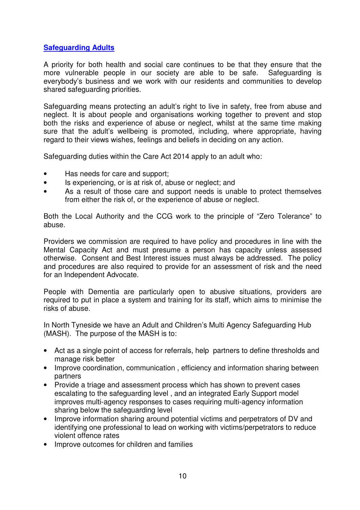## **Safeguarding Adults**

A priority for both health and social care continues to be that they ensure that the more vulnerable people in our society are able to be safe. Safeguarding is everybody's business and we work with our residents and communities to develop shared safeguarding priorities.

Safeguarding means protecting an adult's right to live in safety, free from abuse and neglect. It is about people and organisations working together to prevent and stop both the risks and experience of abuse or neglect, whilst at the same time making sure that the adult's wellbeing is promoted, including, where appropriate, having regard to their views wishes, feelings and beliefs in deciding on any action.

Safeguarding duties within the Care Act 2014 apply to an adult who:

- Has needs for care and support;
- Is experiencing, or is at risk of, abuse or neglect; and
- As a result of those care and support needs is unable to protect themselves from either the risk of, or the experience of abuse or neglect.

Both the Local Authority and the CCG work to the principle of "Zero Tolerance" to abuse.

Providers we commission are required to have policy and procedures in line with the Mental Capacity Act and must presume a person has capacity unless assessed otherwise. Consent and Best Interest issues must always be addressed. The policy and procedures are also required to provide for an assessment of risk and the need for an Independent Advocate.

People with Dementia are particularly open to abusive situations, providers are required to put in place a system and training for its staff, which aims to minimise the risks of abuse.

In North Tyneside we have an Adult and Children's Multi Agency Safeguarding Hub (MASH). The purpose of the MASH is to:

- Act as a single point of access for referrals, help partners to define thresholds and manage risk better
- Improve coordination, communication , efficiency and information sharing between partners
- Provide a triage and assessment process which has shown to prevent cases escalating to the safeguarding level , and an integrated Early Support model improves multi-agency responses to cases requiring multi-agency information sharing below the safeguarding level
- Improve information sharing around potential victims and perpetrators of DV and identifying one professional to lead on working with victims/perpetrators to reduce violent offence rates
- Improve outcomes for children and families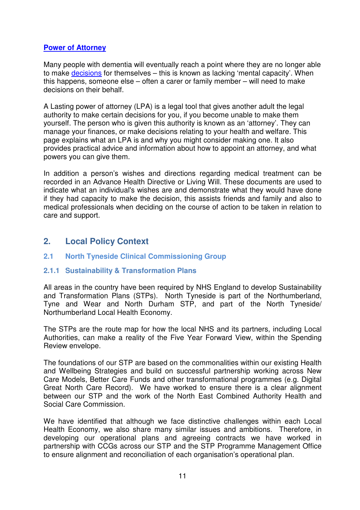## **Power of Attorney**

Many people with dementia will eventually reach a point where they are no longer able to make decisions for themselves – this is known as lacking 'mental capacity'. When this happens, someone else – often a carer or family member – will need to make decisions on their behalf.

A Lasting power of attorney (LPA) is a legal tool that gives another adult the legal authority to make certain decisions for you, if you become unable to make them yourself. The person who is given this authority is known as an 'attorney'. They can manage your finances, or make decisions relating to your health and welfare. This page explains what an LPA is and why you might consider making one. It also provides practical advice and information about how to appoint an attorney, and what powers you can give them.

In addition a person's wishes and directions regarding medical treatment can be recorded in an Advance Health Directive or Living Will. These documents are used to indicate what an individual's wishes are and demonstrate what they would have done if they had capacity to make the decision, this assists friends and family and also to medical professionals when deciding on the course of action to be taken in relation to care and support.

## **2. Local Policy Context**

## **2.1 North Tyneside Clinical Commissioning Group**

## **2.1.1 Sustainability & Transformation Plans**

All areas in the country have been required by NHS England to develop Sustainability and Transformation Plans (STPs). North Tyneside is part of the Northumberland, Tyne and Wear and North Durham STP, and part of the North Tyneside/ Northumberland Local Health Economy.

The STPs are the route map for how the local NHS and its partners, including Local Authorities, can make a reality of the Five Year Forward View, within the Spending Review envelope.

The foundations of our STP are based on the commonalities within our existing Health and Wellbeing Strategies and build on successful partnership working across New Care Models, Better Care Funds and other transformational programmes (e.g. Digital Great North Care Record). We have worked to ensure there is a clear alignment between our STP and the work of the North East Combined Authority Health and Social Care Commission.

We have identified that although we face distinctive challenges within each Local Health Economy, we also share many similar issues and ambitions. Therefore, in developing our operational plans and agreeing contracts we have worked in partnership with CCGs across our STP and the STP Programme Management Office to ensure alignment and reconciliation of each organisation's operational plan.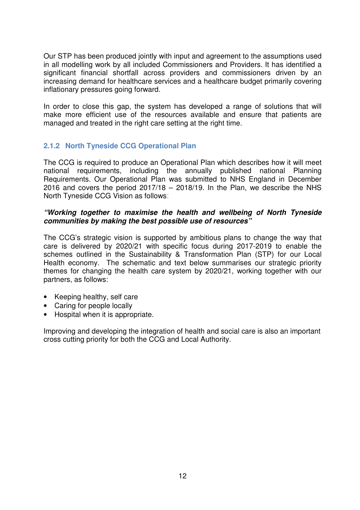Our STP has been produced jointly with input and agreement to the assumptions used in all modelling work by all included Commissioners and Providers. It has identified a significant financial shortfall across providers and commissioners driven by an increasing demand for healthcare services and a healthcare budget primarily covering inflationary pressures going forward.

In order to close this gap, the system has developed a range of solutions that will make more efficient use of the resources available and ensure that patients are managed and treated in the right care setting at the right time.

## **2.1.2 North Tyneside CCG Operational Plan**

The CCG is required to produce an Operational Plan which describes how it will meet national requirements, including the annually published national Planning Requirements. Our Operational Plan was submitted to NHS England in December 2016 and covers the period  $2017/18 - 2018/19$ . In the Plan, we describe the NHS North Tyneside CCG Vision as follows:

#### **"Working together to maximise the health and wellbeing of North Tyneside communities by making the best possible use of resources"**

The CCG's strategic vision is supported by ambitious plans to change the way that care is delivered by 2020/21 with specific focus during 2017-2019 to enable the schemes outlined in the Sustainability & Transformation Plan (STP) for our Local Health economy. The schematic and text below summarises our strategic priority themes for changing the health care system by 2020/21, working together with our partners, as follows:

- Keeping healthy, self care
- Caring for people locally
- Hospital when it is appropriate.

Improving and developing the integration of health and social care is also an important cross cutting priority for both the CCG and Local Authority.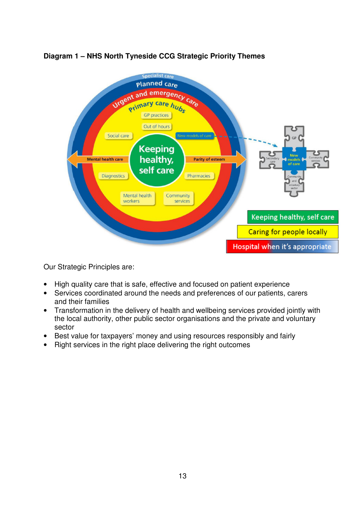

## **Diagram 1 – NHS North Tyneside CCG Strategic Priority Themes**

Our Strategic Principles are:

- High quality care that is safe, effective and focused on patient experience
- Services coordinated around the needs and preferences of our patients, carers and their families
- Transformation in the delivery of health and wellbeing services provided jointly with the local authority, other public sector organisations and the private and voluntary sector
- Best value for taxpayers' money and using resources responsibly and fairly
- Right services in the right place delivering the right outcomes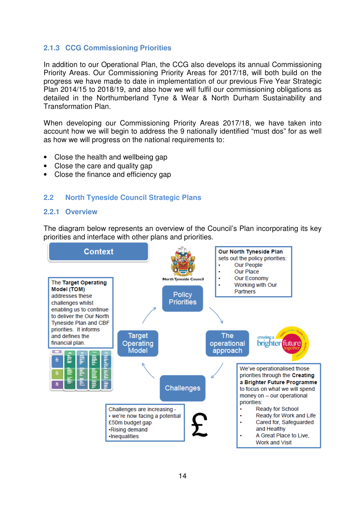## **2.1.3 CCG Commissioning Priorities**

In addition to our Operational Plan, the CCG also develops its annual Commissioning Priority Areas. Our Commissioning Priority Areas for 2017/18, will both build on the progress we have made to date in implementation of our previous Five Year Strategic Plan 2014/15 to 2018/19, and also how we will fulfil our commissioning obligations as detailed in the Northumberland Tyne & Wear & North Durham Sustainability and Transformation Plan.

When developing our Commissioning Priority Areas 2017/18, we have taken into account how we will begin to address the 9 nationally identified "must dos" for as well as how we will progress on the national requirements to:

- Close the health and wellbeing gap
- Close the care and quality gap
- Close the finance and efficiency gap

## **2.2 North Tyneside Council Strategic Plans**

#### **2.2.1 Overview**

The diagram below represents an overview of the Council's Plan incorporating its key priorities and interface with other plans and priorities.

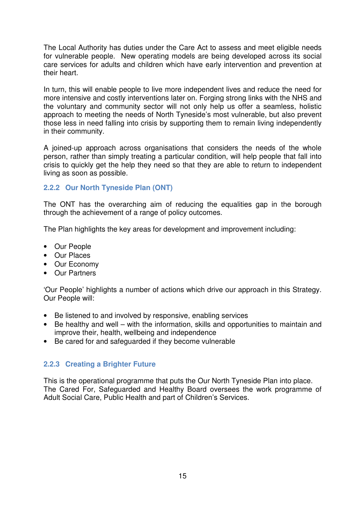The Local Authority has duties under the Care Act to assess and meet eligible needs for vulnerable people. New operating models are being developed across its social care services for adults and children which have early intervention and prevention at their heart.

In turn, this will enable people to live more independent lives and reduce the need for more intensive and costly interventions later on. Forging strong links with the NHS and the voluntary and community sector will not only help us offer a seamless, holistic approach to meeting the needs of North Tyneside's most vulnerable, but also prevent those less in need falling into crisis by supporting them to remain living independently in their community.

A joined-up approach across organisations that considers the needs of the whole person, rather than simply treating a particular condition, will help people that fall into crisis to quickly get the help they need so that they are able to return to independent living as soon as possible.

## **2.2.2 Our North Tyneside Plan (ONT)**

The ONT has the overarching aim of reducing the equalities gap in the borough through the achievement of a range of policy outcomes.

The Plan highlights the key areas for development and improvement including:

- Our People
- Our Places
- Our Economy
- Our Partners

'Our People' highlights a number of actions which drive our approach in this Strategy. Our People will:

- Be listened to and involved by responsive, enabling services
- Be healthy and well with the information, skills and opportunities to maintain and improve their, health, wellbeing and independence
- Be cared for and safeguarded if they become vulnerable

## **2.2.3 Creating a Brighter Future**

This is the operational programme that puts the Our North Tyneside Plan into place. The Cared For, Safeguarded and Healthy Board oversees the work programme of Adult Social Care, Public Health and part of Children's Services.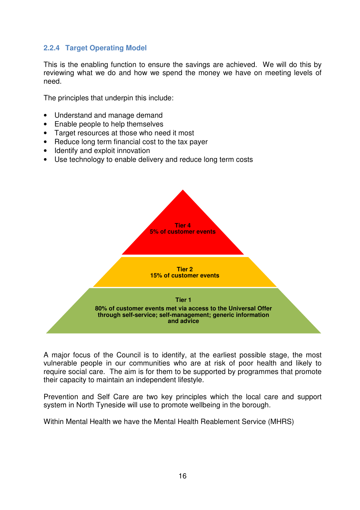## **2.2.4 Target Operating Model**

This is the enabling function to ensure the savings are achieved. We will do this by reviewing what we do and how we spend the money we have on meeting levels of need.

The principles that underpin this include:

- Understand and manage demand
- Enable people to help themselves
- Target resources at those who need it most
- Reduce long term financial cost to the tax payer
- Identify and exploit innovation
- Use technology to enable delivery and reduce long term costs



A major focus of the Council is to identify, at the earliest possible stage, the most vulnerable people in our communities who are at risk of poor health and likely to require social care. The aim is for them to be supported by programmes that promote their capacity to maintain an independent lifestyle.

Prevention and Self Care are two key principles which the local care and support system in North Tyneside will use to promote wellbeing in the borough.

Within Mental Health we have the Mental Health Reablement Service (MHRS)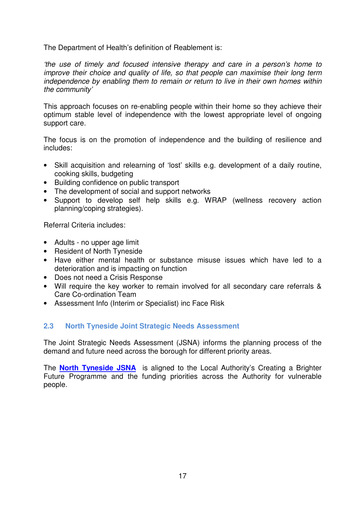The Department of Health's definition of Reablement is:

'the use of timely and focused intensive therapy and care in a person's home to improve their choice and quality of life, so that people can maximise their long term independence by enabling them to remain or return to live in their own homes within the community'

This approach focuses on re-enabling people within their home so they achieve their optimum stable level of independence with the lowest appropriate level of ongoing support care.

The focus is on the promotion of independence and the building of resilience and includes:

- Skill acquisition and relearning of 'lost' skills e.g. development of a daily routine, cooking skills, budgeting
- Building confidence on public transport
- The development of social and support networks
- Support to develop self help skills e.g. WRAP (wellness recovery action planning/coping strategies).

Referral Criteria includes:

- Adults no upper age limit
- Resident of North Tyneside
- Have either mental health or substance misuse issues which have led to a deterioration and is impacting on function
- Does not need a Crisis Response
- Will require the key worker to remain involved for all secondary care referrals & Care Co-ordination Team
- Assessment Info (Interim or Specialist) inc Face Risk

## **2.3 North Tyneside Joint Strategic Needs Assessment**

The Joint Strategic Needs Assessment (JSNA) informs the planning process of the demand and future need across the borough for different priority areas.

The **North Tyneside JSNA** is aligned to the Local Authority's Creating a Brighter Future Programme and the funding priorities across the Authority for vulnerable people.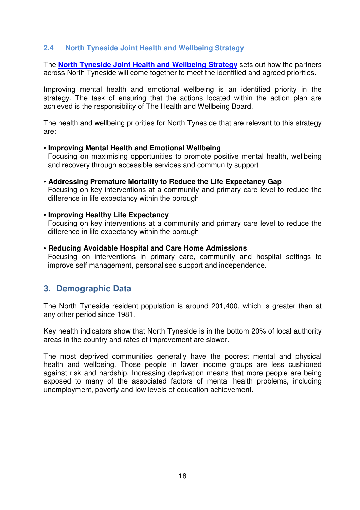#### **2.4 North Tyneside Joint Health and Wellbeing Strategy**

The **North Tyneside Joint Health and Wellbeing Strategy** sets out how the partners across North Tyneside will come together to meet the identified and agreed priorities.

Improving mental health and emotional wellbeing is an identified priority in the strategy. The task of ensuring that the actions located within the action plan are achieved is the responsibility of The Health and Wellbeing Board.

The health and wellbeing priorities for North Tyneside that are relevant to this strategy are:

#### • **Improving Mental Health and Emotional Wellbeing**

Focusing on maximising opportunities to promote positive mental health, wellbeing and recovery through accessible services and community support

• **Addressing Premature Mortality to Reduce the Life Expectancy Gap**

Focusing on key interventions at a community and primary care level to reduce the difference in life expectancy within the borough

#### • **Improving Healthy Life Expectancy**

Focusing on key interventions at a community and primary care level to reduce the difference in life expectancy within the borough

#### • **Reducing Avoidable Hospital and Care Home Admissions**

Focusing on interventions in primary care, community and hospital settings to improve self management, personalised support and independence.

## **3. Demographic Data**

The North Tyneside resident population is around 201,400, which is greater than at any other period since 1981.

Key health indicators show that North Tyneside is in the bottom 20% of local authority areas in the country and rates of improvement are slower.

The most deprived communities generally have the poorest mental and physical health and wellbeing. Those people in lower income groups are less cushioned against risk and hardship. Increasing deprivation means that more people are being exposed to many of the associated factors of mental health problems, including unemployment, poverty and low levels of education achievement.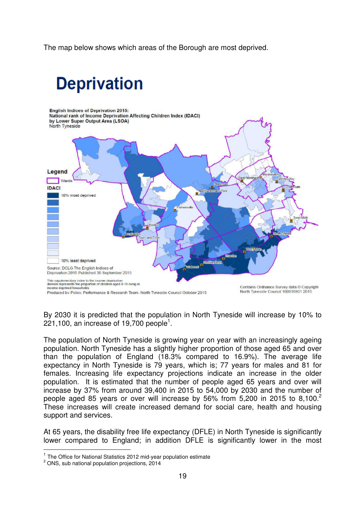The map below shows which areas of the Borough are most deprived.

## **Deprivation**



By 2030 it is predicted that the population in North Tyneside will increase by 10% to 221,100, an increase of 19,700 people<sup>1</sup>.

The population of North Tyneside is growing year on year with an increasingly ageing population. North Tyneside has a slightly higher proportion of those aged 65 and over than the population of England (18.3% compared to 16.9%). The average life expectancy in North Tyneside is 79 years, which is; 77 years for males and 81 for females. Increasing life expectancy projections indicate an increase in the older population. It is estimated that the number of people aged 65 years and over will increase by 37% from around 39,400 in 2015 to 54,000 by 2030 and the number of people aged 85 years or over will increase by 56% from 5,200 in 2015 to 8,100.<sup>2</sup> These increases will create increased demand for social care, health and housing support and services.

At 65 years, the disability free life expectancy (DFLE) in North Tyneside is significantly lower compared to England; in addition DFLE is significantly lower in the most

 $\overline{1}$ 

 $1$  The Office for National Statistics 2012 mid-year population estimate

 $2$  ONS, sub national population projections, 2014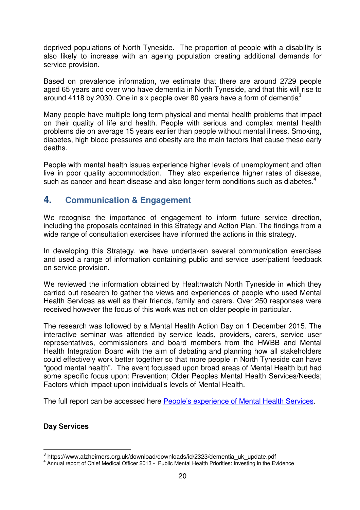deprived populations of North Tyneside. The proportion of people with a disability is also likely to increase with an ageing population creating additional demands for service provision.

Based on prevalence information, we estimate that there are around 2729 people aged 65 years and over who have dementia in North Tyneside, and that this will rise to around 4118 by 2030. One in six people over 80 years have a form of dementia<sup>3</sup>

Many people have multiple long term physical and mental health problems that impact on their quality of life and health. People with serious and complex mental health problems die on average 15 years earlier than people without mental illness. Smoking, diabetes, high blood pressures and obesity are the main factors that cause these early deaths.

People with mental health issues experience higher levels of unemployment and often live in poor quality accommodation. They also experience higher rates of disease, such as cancer and heart disease and also longer term conditions such as diabetes.<sup>4</sup>

## **4. Communication & Engagement**

We recognise the importance of engagement to inform future service direction, including the proposals contained in this Strategy and Action Plan. The findings from a wide range of consultation exercises have informed the actions in this strategy.

In developing this Strategy, we have undertaken several communication exercises and used a range of information containing public and service user/patient feedback on service provision.

We reviewed the information obtained by Healthwatch North Tyneside in which they carried out research to gather the views and experiences of people who used Mental Health Services as well as their friends, family and carers. Over 250 responses were received however the focus of this work was not on older people in particular.

The research was followed by a Mental Health Action Day on 1 December 2015. The interactive seminar was attended by service leads, providers, carers, service user representatives, commissioners and board members from the HWBB and Mental Health Integration Board with the aim of debating and planning how all stakeholders could effectively work better together so that more people in North Tyneside can have "good mental health". The event focussed upon broad areas of Mental Health but had some specific focus upon: Prevention; Older Peoples Mental Health Services/Needs; Factors which impact upon individual's levels of Mental Health.

The full report can be accessed here People's experience of Mental Health Services.

## **Day Services**

 3 https://www.alzheimers.org.uk/download/downloads/id/2323/dementia\_uk\_update.pdf

<sup>&</sup>lt;sup>4</sup> Annual report of Chief Medical Officer 2013 - Public Mental Health Priorities: Investing in the Evidence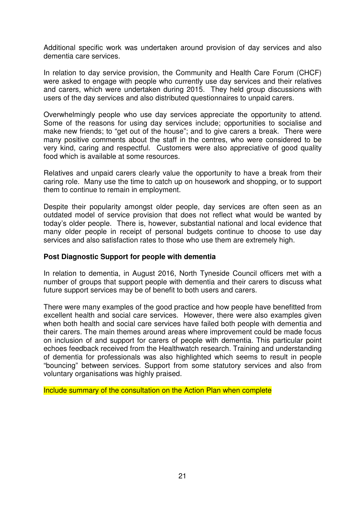Additional specific work was undertaken around provision of day services and also dementia care services.

In relation to day service provision, the Community and Health Care Forum (CHCF) were asked to engage with people who currently use day services and their relatives and carers, which were undertaken during 2015. They held group discussions with users of the day services and also distributed questionnaires to unpaid carers.

Overwhelmingly people who use day services appreciate the opportunity to attend. Some of the reasons for using day services include; opportunities to socialise and make new friends; to "get out of the house"; and to give carers a break. There were many positive comments about the staff in the centres, who were considered to be very kind, caring and respectful. Customers were also appreciative of good quality food which is available at some resources.

Relatives and unpaid carers clearly value the opportunity to have a break from their caring role. Many use the time to catch up on housework and shopping, or to support them to continue to remain in employment.

Despite their popularity amongst older people, day services are often seen as an outdated model of service provision that does not reflect what would be wanted by today's older people. There is, however, substantial national and local evidence that many older people in receipt of personal budgets continue to choose to use day services and also satisfaction rates to those who use them are extremely high.

#### **Post Diagnostic Support for people with dementia**

In relation to dementia, in August 2016, North Tyneside Council officers met with a number of groups that support people with dementia and their carers to discuss what future support services may be of benefit to both users and carers.

There were many examples of the good practice and how people have benefitted from excellent health and social care services. However, there were also examples given when both health and social care services have failed both people with dementia and their carers. The main themes around areas where improvement could be made focus on inclusion of and support for carers of people with dementia. This particular point echoes feedback received from the Healthwatch research. Training and understanding of dementia for professionals was also highlighted which seems to result in people "bouncing" between services. Support from some statutory services and also from voluntary organisations was highly praised.

Include summary of the consultation on the Action Plan when complete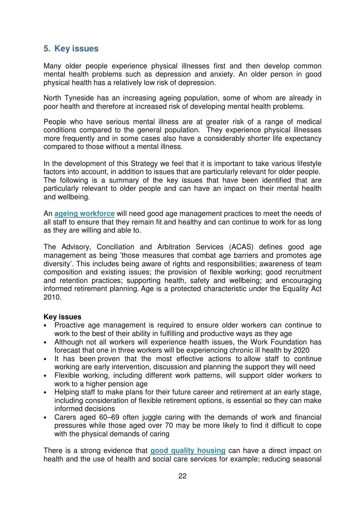## **5. Key issues**

Many older people experience physical illnesses first and then develop common mental health problems such as depression and anxiety. An older person in good physical health has a relatively low risk of depression.

North Tyneside has an increasing ageing population, some of whom are already in poor health and therefore at increased risk of developing mental health problems.

People who have serious mental illness are at greater risk of a range of medical conditions compared to the general population. They experience physical illnesses more frequently and in some cases also have a considerably shorter life expectancy compared to those without a mental illness.

In the development of this Strategy we feel that it is important to take various lifestyle factors into account, in addition to issues that are particularly relevant for older people. The following is a summary of the key issues that have been identified that are particularly relevant to older people and can have an impact on their mental health and wellbeing.

An **ageing workforce** will need good age management practices to meet the needs of all staff to ensure that they remain fit and healthy and can continue to work for as long as they are willing and able to.

The Advisory, Conciliation and Arbitration Services (ACAS) defines good age management as being 'those measures that combat age barriers and promotes age diversity'. This includes being aware of rights and responsibilities; awareness of team composition and existing issues; the provision of flexible working; good recruitment and retention practices; supporting health, safety and wellbeing; and encouraging informed retirement planning. Age is a protected characteristic under the Equality Act 2010.

#### **Key issues**

- Proactive age management is required to ensure older workers can continue to work to the best of their ability in fulfilling and productive ways as they age
- Although not all workers will experience health issues, the Work Foundation has forecast that one in three workers will be experiencing chronic ill health by 2020
- It has been proven that the most effective actions to allow staff to continue working are early intervention, discussion and planning the support they will need
- Flexible working, including different work patterns, will support older workers to work to a higher pension age
- Helping staff to make plans for their future career and retirement at an early stage, including consideration of flexible retirement options, is essential so they can make informed decisions
- Carers aged 60–69 often juggle caring with the demands of work and financial pressures while those aged over 70 may be more likely to find it difficult to cope with the physical demands of caring

There is a strong evidence that **good quality housing** can have a direct impact on health and the use of health and social care services for example; reducing seasonal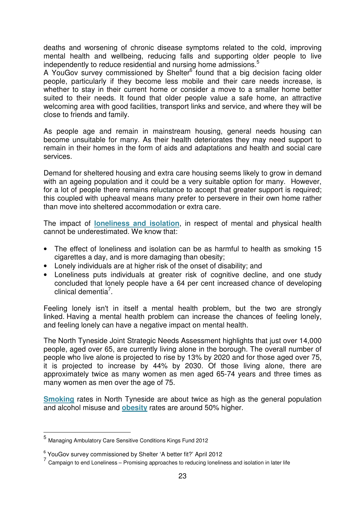deaths and worsening of chronic disease symptoms related to the cold, improving mental health and wellbeing, reducing falls and supporting older people to live independently to reduce residential and nursing home admissions. $5$ 

A YouGov survey commissioned by Shelter<sup>6</sup> found that a big decision facing older people, particularly if they become less mobile and their care needs increase, is whether to stay in their current home or consider a move to a smaller home better suited to their needs. It found that older people value a safe home, an attractive welcoming area with good facilities, transport links and service, and where they will be close to friends and family.

As people age and remain in mainstream housing, general needs housing can become unsuitable for many. As their health deteriorates they may need support to remain in their homes in the form of aids and adaptations and health and social care services.

Demand for sheltered housing and extra care housing seems likely to grow in demand with an ageing population and it could be a very suitable option for many. However, for a lot of people there remains reluctance to accept that greater support is required; this coupled with upheaval means many prefer to persevere in their own home rather than move into sheltered accommodation or extra care.

The impact of **loneliness and isolation**, in respect of mental and physical health cannot be underestimated. We know that:

- The effect of loneliness and isolation can be as harmful to health as smoking 15 cigarettes a day, and is more damaging than obesity;
- Lonely individuals are at higher risk of the onset of disability; and
- Loneliness puts individuals at greater risk of cognitive decline, and one study concluded that lonely people have a 64 per cent increased chance of developing clinical dementia<sup>7</sup>.

Feeling lonely isn't in itself a mental health problem, but the two are strongly linked. Having a mental health problem can increase the chances of feeling lonely, and feeling lonely can have a negative impact on mental health.

The North Tyneside Joint Strategic Needs Assessment highlights that just over 14,000 people, aged over 65, are currently living alone in the borough. The overall number of people who live alone is projected to rise by 13% by 2020 and for those aged over 75, it is projected to increase by 44% by 2030. Of those living alone, there are approximately twice as many women as men aged 65-74 years and three times as many women as men over the age of 75.

**Smoking** rates in North Tyneside are about twice as high as the general population and alcohol misuse and **obesity** rates are around 50% higher.

 $\overline{a}$ 

<sup>5</sup> Managing Ambulatory Care Sensitive Conditions Kings Fund 2012

<sup>6</sup> YouGov survey commissioned by Shelter 'A better fit?' April 2012

 $7$  Campaign to end Loneliness – Promising approaches to reducing loneliness and isolation in later life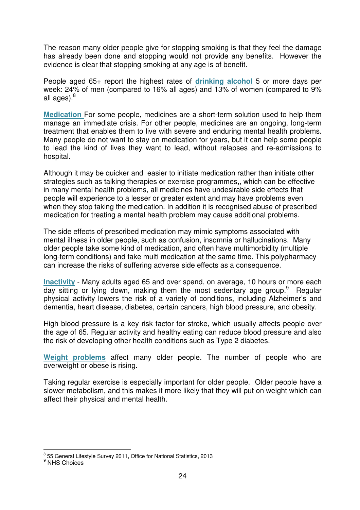The reason many older people give for stopping smoking is that they feel the damage has already been done and stopping would not provide any benefits. However the evidence is clear that stopping smoking at any age is of benefit.

People aged 65+ report the highest rates of **drinking alcohol** 5 or more days per week: 24% of men (compared to 16% all ages) and 13% of women (compared to 9% all ages).<sup>8</sup>

**Medication** For some people, medicines are a short-term solution used to help them manage an immediate crisis. For other people, medicines are an ongoing, long-term treatment that enables them to live with severe and enduring mental health problems. Many people do not want to stay on medication for years, but it can help some people to lead the kind of lives they want to lead, without relapses and re-admissions to hospital.

Although it may be quicker and easier to initiate medication rather than initiate other strategies such as talking therapies or exercise programmes,, which can be effective in many mental health problems, all medicines have undesirable side effects that people will experience to a lesser or greater extent and may have problems even when they stop taking the medication. In addition it is recognised abuse of prescribed medication for treating a mental health problem may cause additional problems.

The side effects of prescribed medication may mimic symptoms associated with mental illness in older people, such as confusion, insomnia or hallucinations. Many older people take some kind of medication, and often have multimorbidity (multiple long-term conditions) and take multi medication at the same time. This polypharmacy can increase the risks of suffering adverse side effects as a consequence.

**Inactivity** - Many adults aged 65 and over spend, on average, 10 hours or more each day sitting or lying down, making them the most sedentary age group.<sup>9</sup> Regular physical activity lowers the risk of a variety of conditions, including Alzheimer's and dementia, heart disease, diabetes, certain cancers, high blood pressure, and obesity.

High blood pressure is a key risk factor for stroke, which usually affects people over the age of 65. Regular activity and healthy eating can reduce blood pressure and also the risk of developing other health conditions such as Type 2 diabetes.

**Weight problems** affect many older people. The number of people who are overweight or obese is rising.

Taking regular exercise is especially important for older people. Older people have a slower metabolism, and this makes it more likely that they will put on weight which can affect their physical and mental health.

enders<br>
1988 General Lifestyle Survey 2011, Office for National Statistics, 2013

<sup>&</sup>lt;sup>9</sup> NHS Choices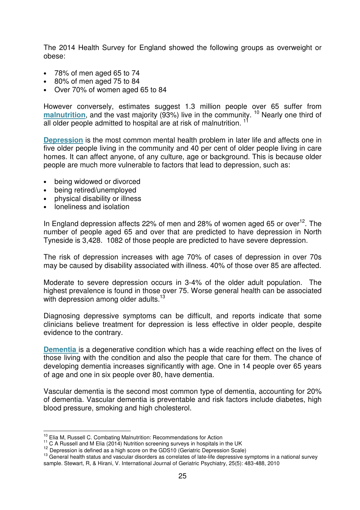The 2014 Health Survey for England showed the following groups as overweight or obese:

- 78% of men aged 65 to 74
- 80% of men aged 75 to 84
- Over 70% of women aged 65 to 84

However conversely, estimates suggest 1.3 million people over 65 suffer from **malnutrition**, and the vast majority (93%) live in the community. <sup>10</sup> Nearly one third of all older people admitted to hospital are at risk of malnutrition.<sup>11</sup>

**Depression** is the most common mental health problem in later life and affects one in five older people living in the community and 40 per cent of older people living in care homes. It can affect anyone, of any culture, age or background. This is because older people are much more vulnerable to factors that lead to depression, such as:

- being widowed or divorced
- being retired/unemployed
- physical disability or illness
- loneliness and isolation

In England depression affects 22% of men and 28% of women aged 65 or over  $12$ . The number of people aged 65 and over that are predicted to have depression in North Tyneside is 3,428. 1082 of those people are predicted to have severe depression.

The risk of depression increases with age 70% of cases of depression in over 70s may be caused by disability associated with illness. 40% of those over 85 are affected.

Moderate to severe depression occurs in 3-4% of the older adult population. The highest prevalence is found in those over 75. Worse general health can be associated with depression among older adults.<sup>13</sup>

Diagnosing depressive symptoms can be difficult, and reports indicate that some clinicians believe treatment for depression is less effective in older people, despite evidence to the contrary.

**Dementia** is a degenerative condition which has a wide reaching effect on the lives of those living with the condition and also the people that care for them. The chance of developing dementia increases significantly with age. One in 14 people over 65 years of age and one in six people over 80, have dementia.

Vascular dementia is the second most common type of dementia, accounting for 20% of dementia. Vascular dementia is preventable and risk factors include diabetes, high blood pressure, smoking and high cholesterol.

<sup>13</sup> General health status and vascular disorders as correlates of late-life depressive symptoms in a national survey sample. Stewart, R, & Hirani, V. International Journal of Geriatric Psychiatry, 25(5): 483-488, 2010

 $\overline{1}$  $10^{10}$  Elia M, Russell C. Combating Malnutrition: Recommendations for Action

<sup>&</sup>lt;sup>11</sup> C A Russell and M Elia (2014) Nutrition screening surveys in hospitals in the UK

 $12$  Depression is defined as a high score on the GDS10 (Geriatric Depression Scale)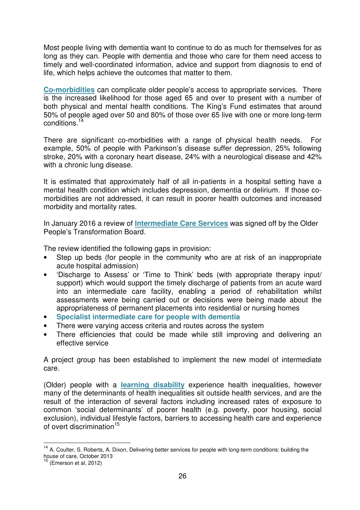Most people living with dementia want to continue to do as much for themselves for as long as they can. People with dementia and those who care for them need access to timely and well-coordinated information, advice and support from diagnosis to end of life, which helps achieve the outcomes that matter to them.

**Co-morbidities** can complicate older people's access to appropriate services. There is the increased likelihood for those aged 65 and over to present with a number of both physical and mental health conditions. The King's Fund estimates that around 50% of people aged over 50 and 80% of those over 65 live with one or more long-term conditions.<sup>14</sup>

There are significant co-morbidities with a range of physical health needs. For example, 50% of people with Parkinson's disease suffer depression, 25% following stroke, 20% with a coronary heart disease, 24% with a neurological disease and 42% with a chronic lung disease.

It is estimated that approximately half of all in-patients in a hospital setting have a mental health condition which includes depression, dementia or delirium. If those comorbidities are not addressed, it can result in poorer health outcomes and increased morbidity and mortality rates.

In January 2016 a review of **Intermediate Care Services** was signed off by the Older People's Transformation Board.

The review identified the following gaps in provision:

- Step up beds (for people in the community who are at risk of an inappropriate acute hospital admission)
- 'Discharge to Assess' or 'Time to Think' beds (with appropriate therapy input/ support) which would support the timely discharge of patients from an acute ward into an intermediate care facility, enabling a period of rehabilitation whilst assessments were being carried out or decisions were being made about the appropriateness of permanent placements into residential or nursing homes
- **Specialist intermediate care for people with dementia**
- There were varying access criteria and routes across the system
- There efficiencies that could be made while still improving and delivering an effective service

A project group has been established to implement the new model of intermediate care.

(Older) people with a **learning disability** experience health inequalities, however many of the determinants of health inequalities sit outside health services, and are the result of the interaction of several factors including increased rates of exposure to common 'social determinants' of poorer health (e.g. poverty, poor housing, social exclusion), individual lifestyle factors, barriers to accessing health care and experience of overt discrimination<sup>15</sup>

 $\overline{1}$ 

<sup>&</sup>lt;sup>14</sup> A. Coulter, S. Roberts, A. Dixon, Delivering better services for people with long-term conditions: building the house of care, October 2013

<sup>(</sup>Emerson et al, 2012)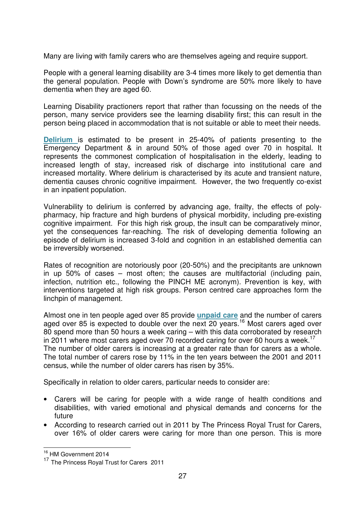Many are living with family carers who are themselves ageing and require support.

People with a general learning disability are 3-4 times more likely to get dementia than the general population. People with Down's syndrome are 50% more likely to have dementia when they are aged 60.

Learning Disability practioners report that rather than focussing on the needs of the person, many service providers see the learning disability first; this can result in the person being placed in accommodation that is not suitable or able to meet their needs.

**Delirium** is estimated to be present in 25-40% of patients presenting to the Emergency Department & in around 50% of those aged over 70 in hospital. It represents the commonest complication of hospitalisation in the elderly, leading to increased length of stay, increased risk of discharge into institutional care and increased mortality. Where delirium is characterised by its acute and transient nature, dementia causes chronic cognitive impairment. However, the two frequently co-exist in an inpatient population.

Vulnerability to delirium is conferred by advancing age, frailty, the effects of polypharmacy, hip fracture and high burdens of physical morbidity, including pre-existing cognitive impairment. For this high risk group, the insult can be comparatively minor, yet the consequences far-reaching. The risk of developing dementia following an episode of delirium is increased 3-fold and cognition in an established dementia can be irreversibly worsened.

Rates of recognition are notoriously poor (20-50%) and the precipitants are unknown in up 50% of cases – most often; the causes are multifactorial (including pain, infection, nutrition etc., following the PINCH ME acronym). Prevention is key, with interventions targeted at high risk groups. Person centred care approaches form the linchpin of management.

Almost one in ten people aged over 85 provide **unpaid care** and the number of carers aged over 85 is expected to double over the next 20 years.<sup>16</sup> Most carers aged over 80 spend more than 50 hours a week caring – with this data corroborated by research in 2011 where most carers aged over 70 recorded caring for over 60 hours a week.<sup>17</sup> The number of older carers is increasing at a greater rate than for carers as a whole. The total number of carers rose by 11% in the ten years between the 2001 and 2011 census, while the number of older carers has risen by 35%.

Specifically in relation to older carers, particular needs to consider are:

- Carers will be caring for people with a wide range of health conditions and disabilities, with varied emotional and physical demands and concerns for the future
- According to research carried out in 2011 by The Princess Royal Trust for Carers, over 16% of older carers were caring for more than one person. This is more

 <sup>16</sup> HM Government 2014

<sup>&</sup>lt;sup>17</sup> The Princess Royal Trust for Carers 2011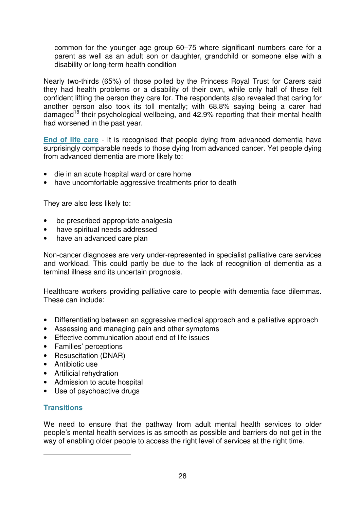common for the younger age group 60–75 where significant numbers care for a parent as well as an adult son or daughter, grandchild or someone else with a disability or long-term health condition

Nearly two-thirds (65%) of those polled by the Princess Royal Trust for Carers said they had health problems or a disability of their own, while only half of these felt confident lifting the person they care for. The respondents also revealed that caring for another person also took its toll mentally; with 68.8% saying being a carer had damaged<sup>18</sup> their psychological wellbeing, and 42.9% reporting that their mental health had worsened in the past year.

**End of life care** - It is recognised that people dying from advanced dementia have surprisingly comparable needs to those dying from advanced cancer. Yet people dying from advanced dementia are more likely to:

- die in an acute hospital ward or care home
- have uncomfortable aggressive treatments prior to death

They are also less likely to:

- be prescribed appropriate analgesia
- have spiritual needs addressed
- have an advanced care plan

Non-cancer diagnoses are very under-represented in specialist palliative care services and workload. This could partly be due to the lack of recognition of dementia as a terminal illness and its uncertain prognosis.

Healthcare workers providing palliative care to people with dementia face dilemmas. These can include:

- Differentiating between an aggressive medical approach and a palliative approach
- Assessing and managing pain and other symptoms
- Effective communication about end of life issues
- Families' perceptions
- Resuscitation (DNAR)
- Antibiotic use
- Artificial rehydration
- Admission to acute hospital
- Use of psychoactive drugs

## **Transitions**

 $\overline{a}$ 

We need to ensure that the pathway from adult mental health services to older people's mental health services is as smooth as possible and barriers do not get in the way of enabling older people to access the right level of services at the right time.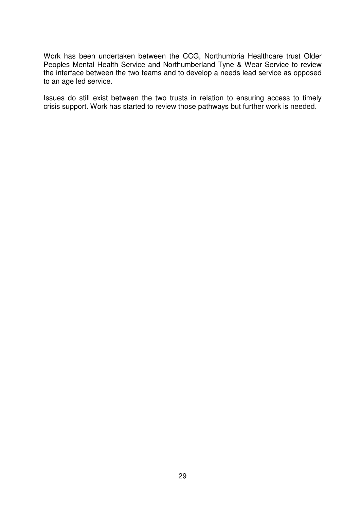Work has been undertaken between the CCG, Northumbria Healthcare trust Older Peoples Mental Health Service and Northumberland Tyne & Wear Service to review the interface between the two teams and to develop a needs lead service as opposed to an age led service.

Issues do still exist between the two trusts in relation to ensuring access to timely crisis support. Work has started to review those pathways but further work is needed.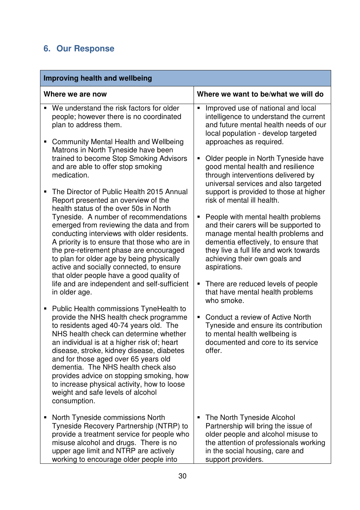## **6. Our Response**

| Improving health and wellbeing                                                                                                                                                                                                                                                                                                                                                                                                                                                                                                                                                                                                                                                                                                                                                                                                                                          |                                                                                                                                                                                                                                                                                                                                                                                                                                                                                                                                                                                                                                                                                                                                                            |  |  |
|-------------------------------------------------------------------------------------------------------------------------------------------------------------------------------------------------------------------------------------------------------------------------------------------------------------------------------------------------------------------------------------------------------------------------------------------------------------------------------------------------------------------------------------------------------------------------------------------------------------------------------------------------------------------------------------------------------------------------------------------------------------------------------------------------------------------------------------------------------------------------|------------------------------------------------------------------------------------------------------------------------------------------------------------------------------------------------------------------------------------------------------------------------------------------------------------------------------------------------------------------------------------------------------------------------------------------------------------------------------------------------------------------------------------------------------------------------------------------------------------------------------------------------------------------------------------------------------------------------------------------------------------|--|--|
| Where we are now                                                                                                                                                                                                                                                                                                                                                                                                                                                                                                                                                                                                                                                                                                                                                                                                                                                        | Where we want to be/what we will do                                                                                                                                                                                                                                                                                                                                                                                                                                                                                                                                                                                                                                                                                                                        |  |  |
| We understand the risk factors for older<br>people; however there is no coordinated<br>plan to address them.<br><b>Community Mental Health and Wellbeing</b><br>Matrons in North Tyneside have been<br>trained to become Stop Smoking Advisors<br>and are able to offer stop smoking<br>medication.<br>The Director of Public Health 2015 Annual<br>Report presented an overview of the<br>health status of the over 50s in North<br>Tyneside. A number of recommendations<br>emerged from reviewing the data and from<br>conducting interviews with older residents.<br>A priority is to ensure that those who are in<br>the pre-retirement phase are encouraged<br>to plan for older age by being physically<br>active and socially connected, to ensure<br>that older people have a good quality of<br>life and are independent and self-sufficient<br>in older age. | Improved use of national and local<br>intelligence to understand the current<br>and future mental health needs of our<br>local population - develop targeted<br>approaches as required.<br>Older people in North Tyneside have<br>good mental health and resilience<br>through interventions delivered by<br>universal services and also targeted<br>support is provided to those at higher<br>risk of mental ill health.<br>People with mental health problems<br>and their carers will be supported to<br>manage mental health problems and<br>dementia effectively, to ensure that<br>they live a full life and work towards<br>achieving their own goals and<br>aspirations.<br>There are reduced levels of people<br>that have mental health problems |  |  |
| Public Health commissions TyneHealth to<br>п<br>provide the NHS health check programme<br>to residents aged 40-74 years old. The<br>NHS health check can determine whether<br>an individual is at a higher risk of; heart<br>disease, stroke, kidney disease, diabetes<br>and for those aged over 65 years old<br>dementia. The NHS health check also<br>provides advice on stopping smoking, how<br>to increase physical activity, how to loose<br>weight and safe levels of alcohol<br>consumption.                                                                                                                                                                                                                                                                                                                                                                   | who smoke.<br>Conduct a review of Active North<br>Tyneside and ensure its contribution<br>to mental health wellbeing is<br>documented and core to its service<br>offer.                                                                                                                                                                                                                                                                                                                                                                                                                                                                                                                                                                                    |  |  |
| North Tyneside commissions North<br>п<br>Tyneside Recovery Partnership (NTRP) to<br>provide a treatment service for people who<br>misuse alcohol and drugs. There is no<br>upper age limit and NTRP are actively<br>working to encourage older people into                                                                                                                                                                                                                                                                                                                                                                                                                                                                                                                                                                                                              | The North Tyneside Alcohol<br>Partnership will bring the issue of<br>older people and alcohol misuse to<br>the attention of professionals working<br>in the social housing, care and<br>support providers.                                                                                                                                                                                                                                                                                                                                                                                                                                                                                                                                                 |  |  |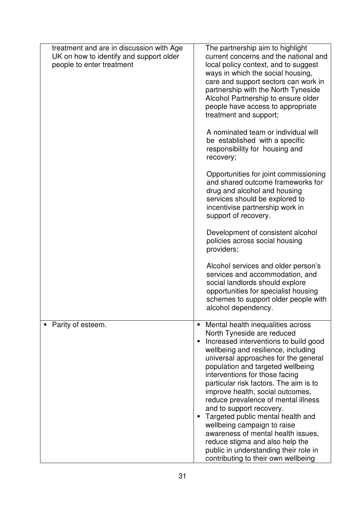| treatment and are in discussion with Age<br>UK on how to identify and support older<br>people to enter treatment | The partnership aim to highlight<br>current concerns and the national and<br>local policy context, and to suggest<br>ways in which the social housing,<br>care and support sectors can work in<br>partnership with the North Tyneside<br>Alcohol Partnership to ensure older<br>people have access to appropriate<br>treatment and support;                                                                                                                                                                                                                                                                                                  |
|------------------------------------------------------------------------------------------------------------------|----------------------------------------------------------------------------------------------------------------------------------------------------------------------------------------------------------------------------------------------------------------------------------------------------------------------------------------------------------------------------------------------------------------------------------------------------------------------------------------------------------------------------------------------------------------------------------------------------------------------------------------------|
|                                                                                                                  | A nominated team or individual will<br>be established with a specific<br>responsibility for housing and<br>recovery;                                                                                                                                                                                                                                                                                                                                                                                                                                                                                                                         |
|                                                                                                                  | Opportunities for joint commissioning<br>and shared outcome frameworks for<br>drug and alcohol and housing<br>services should be explored to<br>incentivise partnership work in<br>support of recovery.                                                                                                                                                                                                                                                                                                                                                                                                                                      |
|                                                                                                                  | Development of consistent alcohol<br>policies across social housing<br>providers;                                                                                                                                                                                                                                                                                                                                                                                                                                                                                                                                                            |
|                                                                                                                  | Alcohol services and older person's<br>services and accommodation, and<br>social landlords should explore<br>opportunities for specialist housing<br>schemes to support older people with<br>alcohol dependency.                                                                                                                                                                                                                                                                                                                                                                                                                             |
| Parity of esteem.                                                                                                | Mental health inequalities across<br>North Tyneside are reduced<br>Increased interventions to build good<br>wellbeing and resilience, including<br>universal approaches for the general<br>population and targeted wellbeing<br>interventions for those facing<br>particular risk factors. The aim is to<br>improve health, social outcomes,<br>reduce prevalence of mental illness<br>and to support recovery.<br>Targeted public mental health and<br>wellbeing campaign to raise<br>awareness of mental health issues,<br>reduce stigma and also help the<br>public in understanding their role in<br>contributing to their own wellbeing |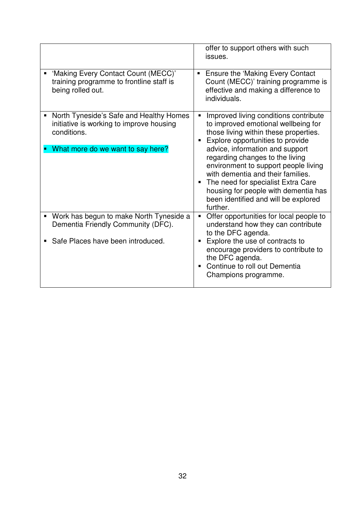|                                                                                                                                              | offer to support others with such<br>issues.                                                                                                                                                                                                                                                                                                                                                                                                        |
|----------------------------------------------------------------------------------------------------------------------------------------------|-----------------------------------------------------------------------------------------------------------------------------------------------------------------------------------------------------------------------------------------------------------------------------------------------------------------------------------------------------------------------------------------------------------------------------------------------------|
| 'Making Every Contact Count (MECC)'<br>training programme to frontline staff is<br>being rolled out.                                         | <b>Ensure the 'Making Every Contact</b><br>Count (MECC)' training programme is<br>effective and making a difference to<br>individuals.                                                                                                                                                                                                                                                                                                              |
| North Tyneside's Safe and Healthy Homes<br>٠<br>initiative is working to improve housing<br>conditions.<br>What more do we want to say here? | Improved living conditions contribute<br>to improved emotional wellbeing for<br>those living within these properties.<br>Explore opportunities to provide<br>advice, information and support<br>regarding changes to the living<br>environment to support people living<br>with dementia and their families.<br>The need for specialist Extra Care<br>٠<br>housing for people with dementia has<br>been identified and will be explored<br>further. |
| Work has begun to make North Tyneside a<br>п<br>Dementia Friendly Community (DFC).<br>Safe Places have been introduced.<br>٠                 | Offer opportunities for local people to<br>understand how they can contribute<br>to the DFC agenda.<br>Explore the use of contracts to<br>encourage providers to contribute to<br>the DFC agenda.                                                                                                                                                                                                                                                   |
|                                                                                                                                              | Continue to roll out Dementia<br>Champions programme.                                                                                                                                                                                                                                                                                                                                                                                               |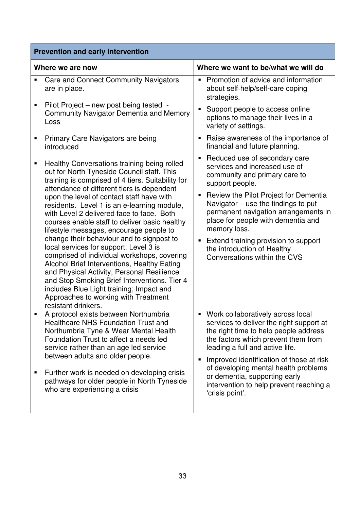| <b>Prevention and early intervention</b> |                                                                                                                                                                                                                                                                                                                                                                                                                                                                                                                                                                                                                |                                                                                                                                                                                                                                                                                                                                                                                                            |  |
|------------------------------------------|----------------------------------------------------------------------------------------------------------------------------------------------------------------------------------------------------------------------------------------------------------------------------------------------------------------------------------------------------------------------------------------------------------------------------------------------------------------------------------------------------------------------------------------------------------------------------------------------------------------|------------------------------------------------------------------------------------------------------------------------------------------------------------------------------------------------------------------------------------------------------------------------------------------------------------------------------------------------------------------------------------------------------------|--|
|                                          | Where we are now                                                                                                                                                                                                                                                                                                                                                                                                                                                                                                                                                                                               | Where we want to be/what we will do                                                                                                                                                                                                                                                                                                                                                                        |  |
| Ξ                                        | <b>Care and Connect Community Navigators</b><br>are in place.                                                                                                                                                                                                                                                                                                                                                                                                                                                                                                                                                  | Promotion of advice and information<br>$\blacksquare$<br>about self-help/self-care coping<br>strategies.                                                                                                                                                                                                                                                                                                   |  |
| Е                                        | Pilot Project – new post being tested -<br><b>Community Navigator Dementia and Memory</b><br>Loss                                                                                                                                                                                                                                                                                                                                                                                                                                                                                                              | Support people to access online<br>$\blacksquare$<br>options to manage their lives in a<br>variety of settings.                                                                                                                                                                                                                                                                                            |  |
| Е                                        | Primary Care Navigators are being<br>introduced                                                                                                                                                                                                                                                                                                                                                                                                                                                                                                                                                                | Raise awareness of the importance of<br>п<br>financial and future planning.                                                                                                                                                                                                                                                                                                                                |  |
| п                                        | Healthy Conversations training being rolled<br>out for North Tyneside Council staff. This<br>training is comprised of 4 tiers. Suitability for                                                                                                                                                                                                                                                                                                                                                                                                                                                                 | Reduced use of secondary care<br>Е<br>services and increased use of<br>community and primary care to<br>support people.                                                                                                                                                                                                                                                                                    |  |
|                                          | attendance of different tiers is dependent<br>upon the level of contact staff have with<br>residents. Level 1 is an e-learning module,<br>with Level 2 delivered face to face. Both<br>courses enable staff to deliver basic healthy<br>lifestyle messages, encourage people to<br>change their behaviour and to signpost to<br>local services for support. Level 3 is<br>comprised of individual workshops, covering<br>Alcohol Brief Interventions, Healthy Eating<br>and Physical Activity, Personal Resilience<br>and Stop Smoking Brief Interventions. Tier 4<br>includes Blue Light training; Impact and | Review the Pilot Project for Dementia<br>Е<br>Navigator $-$ use the findings to put<br>permanent navigation arrangements in<br>place for people with dementia and<br>memory loss.<br>Extend training provision to support<br>Ξ<br>the introduction of Healthy<br>Conversations within the CVS                                                                                                              |  |
|                                          | Approaches to working with Treatment<br>resistant drinkers.                                                                                                                                                                                                                                                                                                                                                                                                                                                                                                                                                    |                                                                                                                                                                                                                                                                                                                                                                                                            |  |
| Е                                        | A protocol exists between Northumbria<br><b>Healthcare NHS Foundation Trust and</b><br>Northumbria Tyne & Wear Mental Health<br>Foundation Trust to affect a needs led<br>service rather than an age led service<br>between adults and older people.<br>Further work is needed on developing crisis<br>pathways for older people in North Tyneside<br>who are experiencing a crisis                                                                                                                                                                                                                            | Work collaboratively across local<br>$\blacksquare$<br>services to deliver the right support at<br>the right time to help people address<br>the factors which prevent them from<br>leading a full and active life.<br>Improved identification of those at risk<br>п<br>of developing mental health problems<br>or dementia, supporting early<br>intervention to help prevent reaching a<br>'crisis point'. |  |
|                                          |                                                                                                                                                                                                                                                                                                                                                                                                                                                                                                                                                                                                                |                                                                                                                                                                                                                                                                                                                                                                                                            |  |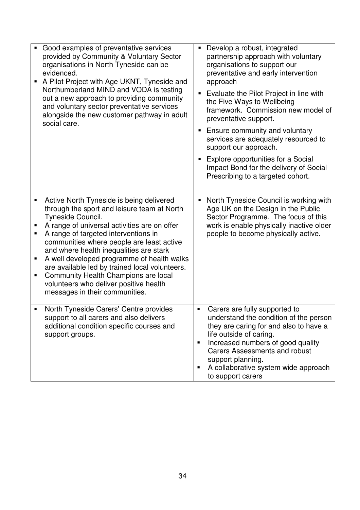|                  | Good examples of preventative services<br>provided by Community & Voluntary Sector<br>organisations in North Tyneside can be<br>evidenced.<br>A Pilot Project with Age UKNT, Tyneside and<br>Northumberland MIND and VODA is testing<br>out a new approach to providing community<br>and voluntary sector preventative services<br>alongside the new customer pathway in adult<br>social care.                                                                                                                   | Develop a robust, integrated<br>partnership approach with voluntary<br>organisations to support our<br>preventative and early intervention<br>approach<br>Evaluate the Pilot Project in line with<br>the Five Ways to Wellbeing<br>framework. Commission new model of<br>preventative support.<br>Ensure community and voluntary<br>services are adequately resourced to<br>support our approach.<br>Explore opportunities for a Social<br>Impact Bond for the delivery of Social<br>Prescribing to a targeted cohort. |
|------------------|------------------------------------------------------------------------------------------------------------------------------------------------------------------------------------------------------------------------------------------------------------------------------------------------------------------------------------------------------------------------------------------------------------------------------------------------------------------------------------------------------------------|------------------------------------------------------------------------------------------------------------------------------------------------------------------------------------------------------------------------------------------------------------------------------------------------------------------------------------------------------------------------------------------------------------------------------------------------------------------------------------------------------------------------|
| п<br>п<br>Е<br>п | Active North Tyneside is being delivered<br>through the sport and leisure team at North<br>Tyneside Council.<br>A range of universal activities are on offer<br>A range of targeted interventions in<br>communities where people are least active<br>and where health inequalities are stark<br>A well developed programme of health walks<br>are available led by trained local volunteers.<br>Community Health Champions are local<br>volunteers who deliver positive health<br>messages in their communities. | North Tyneside Council is working with<br>Age UK on the Design in the Public<br>Sector Programme. The focus of this<br>work is enable physically inactive older<br>people to become physically active.                                                                                                                                                                                                                                                                                                                 |
| Е                | North Tyneside Carers' Centre provides<br>support to all carers and also delivers<br>additional condition specific courses and<br>support groups.                                                                                                                                                                                                                                                                                                                                                                | Carers are fully supported to<br>Е<br>understand the condition of the person<br>they are caring for and also to have a<br>life outside of caring.<br>Increased numbers of good quality<br>٠<br><b>Carers Assessments and robust</b><br>support planning.<br>A collaborative system wide approach<br>п<br>to support carers                                                                                                                                                                                             |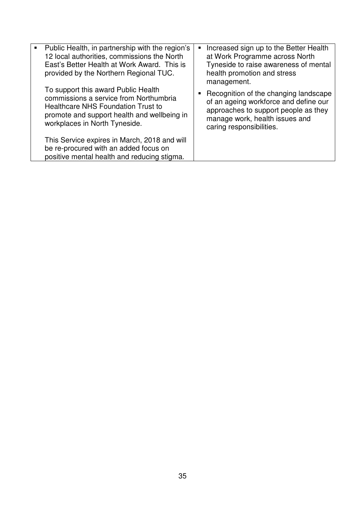| Public Health, in partnership with the region's<br>12 local authorities, commissions the North<br>East's Better Health at Work Award. This is<br>provided by the Northern Regional TUC.                    | Increased sign up to the Better Health<br>at Work Programme across North<br>Tyneside to raise awareness of mental<br>health promotion and stress<br>management.                      |
|------------------------------------------------------------------------------------------------------------------------------------------------------------------------------------------------------------|--------------------------------------------------------------------------------------------------------------------------------------------------------------------------------------|
| To support this award Public Health<br>commissions a service from Northumbria<br><b>Healthcare NHS Foundation Trust to</b><br>promote and support health and wellbeing in<br>workplaces in North Tyneside. | Recognition of the changing landscape<br>of an ageing workforce and define our<br>approaches to support people as they<br>manage work, health issues and<br>caring responsibilities. |
| This Service expires in March, 2018 and will<br>be re-procured with an added focus on<br>positive mental health and reducing stigma.                                                                       |                                                                                                                                                                                      |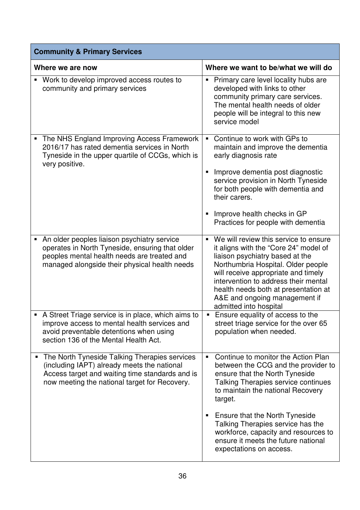| <b>Community &amp; Primary Services</b>                                                                                                                                                          |                                                                                                                                                                                                                                                                                                                                                             |  |  |
|--------------------------------------------------------------------------------------------------------------------------------------------------------------------------------------------------|-------------------------------------------------------------------------------------------------------------------------------------------------------------------------------------------------------------------------------------------------------------------------------------------------------------------------------------------------------------|--|--|
| Where we are now                                                                                                                                                                                 | Where we want to be/what we will do                                                                                                                                                                                                                                                                                                                         |  |  |
| • Work to develop improved access routes to<br>community and primary services                                                                                                                    | Primary care level locality hubs are<br>$\blacksquare$<br>developed with links to other<br>community primary care services.<br>The mental health needs of older<br>people will be integral to this new<br>service model                                                                                                                                     |  |  |
| The NHS England Improving Access Framework<br>2016/17 has rated dementia services in North<br>Tyneside in the upper quartile of CCGs, which is<br>very positive.                                 | Continue to work with GPs to<br>$\blacksquare$<br>maintain and improve the dementia<br>early diagnosis rate<br>Improve dementia post diagnostic<br>Е<br>service provision in North Tyneside<br>for both people with dementia and<br>their carers.                                                                                                           |  |  |
|                                                                                                                                                                                                  | Improve health checks in GP<br>п<br>Practices for people with dementia                                                                                                                                                                                                                                                                                      |  |  |
| An older peoples liaison psychiatry service<br>operates in North Tyneside, ensuring that older<br>peoples mental health needs are treated and<br>managed alongside their physical health needs   | We will review this service to ensure<br>$\blacksquare$<br>it aligns with the "Core 24" model of<br>liaison psychiatry based at the<br>Northumbria Hospital. Older people<br>will receive appropriate and timely<br>intervention to address their mental<br>health needs both at presentation at<br>A&E and ongoing management if<br>admitted into hospital |  |  |
| A Street Triage service is in place, which aims to<br>improve access to mental health services and<br>avoid preventable detentions when using<br>section 136 of the Mental Health Act.           | Ensure equality of access to the<br>street triage service for the over 65<br>population when needed.                                                                                                                                                                                                                                                        |  |  |
| The North Tyneside Talking Therapies services<br>(including IAPT) already meets the national<br>Access target and waiting time standards and is<br>now meeting the national target for Recovery. | Continue to monitor the Action Plan<br>$\blacksquare$<br>between the CCG and the provider to<br>ensure that the North Tyneside<br>Talking Therapies service continues<br>to maintain the national Recovery<br>target.                                                                                                                                       |  |  |
|                                                                                                                                                                                                  | Ensure that the North Tyneside<br>п<br>Talking Therapies service has the<br>workforce, capacity and resources to<br>ensure it meets the future national<br>expectations on access.                                                                                                                                                                          |  |  |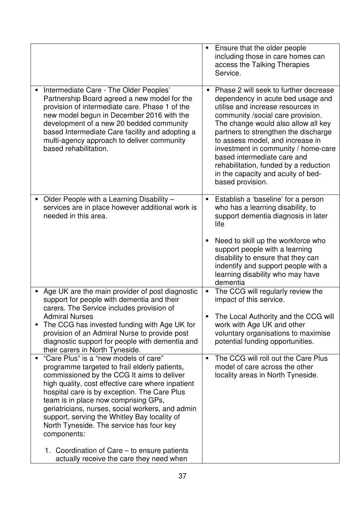|                                                                                                                                                                                                                                                                                                                                                                                                                                                                                                                                              | Ensure that the older people<br>$\blacksquare$<br>including those in care homes can<br>access the Talking Therapies<br>Service.                                                                                                                                                                                                                                                                                                                  |
|----------------------------------------------------------------------------------------------------------------------------------------------------------------------------------------------------------------------------------------------------------------------------------------------------------------------------------------------------------------------------------------------------------------------------------------------------------------------------------------------------------------------------------------------|--------------------------------------------------------------------------------------------------------------------------------------------------------------------------------------------------------------------------------------------------------------------------------------------------------------------------------------------------------------------------------------------------------------------------------------------------|
| Intermediate Care - The Older Peoples'<br>Partnership Board agreed a new model for the<br>provision of intermediate care. Phase 1 of the<br>new model begun in December 2016 with the<br>development of a new 20 bedded community<br>based Intermediate Care facility and adopting a<br>multi-agency approach to deliver community<br>based rehabilitation.                                                                                                                                                                                  | Phase 2 will seek to further decrease<br>dependency in acute bed usage and<br>utilise and increase resources in<br>community /social care provision.<br>The change would also allow all key<br>partners to strengthen the discharge<br>to assess model, and increase in<br>investment in community / home-care<br>based intermediate care and<br>rehabilitation, funded by a reduction<br>in the capacity and acuity of bed-<br>based provision. |
| Older People with a Learning Disability -<br>п<br>services are in place however additional work is<br>needed in this area.                                                                                                                                                                                                                                                                                                                                                                                                                   | Establish a 'baseline' for a person<br>Е<br>who has a learning disability, to<br>support dementia diagnosis in later<br>life<br>Need to skill up the workforce who<br>п<br>support people with a learning<br>disability to ensure that they can<br>indentify and support people with a<br>learning disability who may have<br>dementia                                                                                                           |
| Age UK are the main provider of post diagnostic<br>п<br>support for people with dementia and their<br>carers. The Service includes provision of<br><b>Admiral Nurses</b><br>The CCG has invested funding with Age UK for<br>provision of an Admiral Nurse to provide post<br>diagnostic support for people with dementia and<br>their carers in North Tyneside.                                                                                                                                                                              | The CCG will regularly review the<br>$\blacksquare$<br>impact of this service.<br>The Local Authority and the CCG will<br>work with Age UK and other<br>voluntary organisations to maximise<br>potential funding opportunities.                                                                                                                                                                                                                  |
| "Care Plus" is a "new models of care"<br>programme targeted to frail elderly patients,<br>commissioned by the CCG It aims to deliver<br>high quality, cost effective care where inpatient<br>hospital care is by exception. The Care Plus<br>team is in place now comprising GPs,<br>geriatricians, nurses, social workers, and admin<br>support, serving the Whitley Bay locality of<br>North Tyneside. The service has four key<br>components:<br>1. Coordination of Care – to ensure patients<br>actually receive the care they need when | The CCG will roll out the Care Plus<br>$\blacksquare$<br>model of care across the other<br>locality areas in North Tyneside.                                                                                                                                                                                                                                                                                                                     |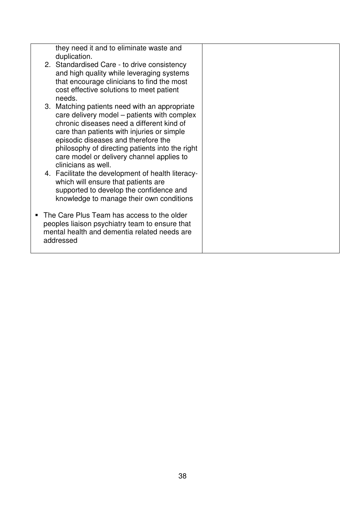|  | they need it and to eliminate waste and<br>duplication.                                      |  |
|--|----------------------------------------------------------------------------------------------|--|
|  | 2. Standardised Care - to drive consistency                                                  |  |
|  | and high quality while leveraging systems<br>that encourage clinicians to find the most      |  |
|  | cost effective solutions to meet patient                                                     |  |
|  | needs.                                                                                       |  |
|  | 3. Matching patients need with an appropriate<br>care delivery model – patients with complex |  |
|  | chronic diseases need a different kind of                                                    |  |
|  | care than patients with injuries or simple<br>episodic diseases and therefore the            |  |
|  | philosophy of directing patients into the right                                              |  |
|  | care model or delivery channel applies to                                                    |  |
|  | clinicians as well.<br>4. Facilitate the development of health literacy-                     |  |
|  | which will ensure that patients are                                                          |  |
|  | supported to develop the confidence and                                                      |  |
|  | knowledge to manage their own conditions                                                     |  |
|  | The Care Plus Team has access to the older                                                   |  |
|  | peoples liaison psychiatry team to ensure that                                               |  |
|  | mental health and dementia related needs are<br>addressed                                    |  |
|  |                                                                                              |  |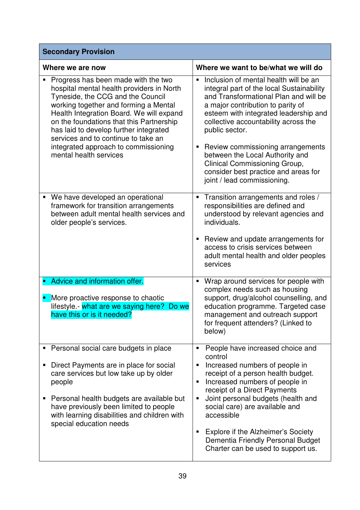| <b>Secondary Provision</b>                                                                                                                                                                                                                                                                                                                                                                                |                                                                                                                                                                                                                                                                                                                                                                                                                                                                            |  |  |
|-----------------------------------------------------------------------------------------------------------------------------------------------------------------------------------------------------------------------------------------------------------------------------------------------------------------------------------------------------------------------------------------------------------|----------------------------------------------------------------------------------------------------------------------------------------------------------------------------------------------------------------------------------------------------------------------------------------------------------------------------------------------------------------------------------------------------------------------------------------------------------------------------|--|--|
| Where we are now                                                                                                                                                                                                                                                                                                                                                                                          | Where we want to be/what we will do                                                                                                                                                                                                                                                                                                                                                                                                                                        |  |  |
| Progress has been made with the two<br>hospital mental health providers in North<br>Tyneside, the CCG and the Council<br>working together and forming a Mental<br>Health Integration Board. We will expand<br>on the foundations that this Partnership<br>has laid to develop further integrated<br>services and to continue to take an<br>integrated approach to commissioning<br>mental health services | Inclusion of mental health will be an<br>$\blacksquare$<br>integral part of the local Sustainability<br>and Transformational Plan and will be<br>a major contribution to parity of<br>esteem with integrated leadership and<br>collective accountability across the<br>public sector.<br>Review commissioning arrangements<br>п<br>between the Local Authority and<br>Clinical Commissioning Group,<br>consider best practice and areas for<br>joint / lead commissioning. |  |  |
| We have developed an operational<br>٠<br>framework for transition arrangements<br>between adult mental health services and<br>older people's services.                                                                                                                                                                                                                                                    | Transition arrangements and roles /<br>п<br>responsibilities are defined and<br>understood by relevant agencies and<br>individuals.<br>Review and update arrangements for<br>п<br>access to crisis services between<br>adult mental health and older peoples<br>services                                                                                                                                                                                                   |  |  |
| Advice and information offer.<br>More proactive response to chaotic<br>lifestyle.- what are we saying here?<br>Do we<br>have this or is it needed?                                                                                                                                                                                                                                                        | Wrap around services for people with<br>п<br>complex needs such as housing<br>support, drug/alcohol counselling, and<br>education programme. Targeted case<br>management and outreach support<br>for frequent attenders? (Linked to<br>below)                                                                                                                                                                                                                              |  |  |
| Personal social care budgets in place<br>п<br>Direct Payments are in place for social<br>care services but low take up by older<br>people<br>Personal health budgets are available but<br>п<br>have previously been limited to people<br>with learning disabilities and children with<br>special education needs                                                                                          | People have increased choice and<br>п<br>control<br>Increased numbers of people in<br>Е<br>receipt of a person health budget.<br>Increased numbers of people in<br>п<br>receipt of a Direct Payments<br>Joint personal budgets (health and<br>Е<br>social care) are available and<br>accessible<br>Explore if the Alzheimer's Society<br>٠<br>Dementia Friendly Personal Budget<br>Charter can be used to support us.                                                      |  |  |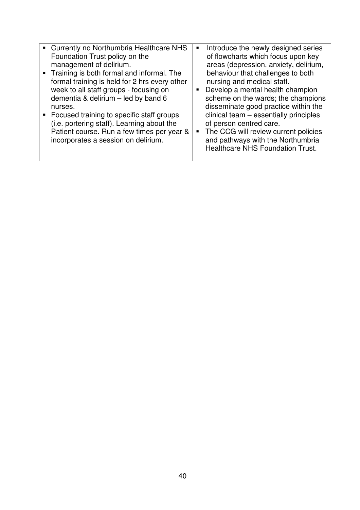| Currently no Northumbria Healthcare NHS<br>$\blacksquare$<br>Foundation Trust policy on the<br>management of delirium.<br>Training is both formal and informal. The<br>formal training is held for 2 hrs every other<br>week to all staff groups - focusing on<br>dementia & delirium - led by band 6<br>nurses.<br>Focused training to specific staff groups<br>(i.e. portering staff). Learning about the<br>Patient course. Run a few times per year &<br>incorporates a session on delirium. | Introduce the newly designed series<br>٠<br>of flowcharts which focus upon key<br>areas (depression, anxiety, delirium,<br>behaviour that challenges to both<br>nursing and medical staff.<br>Develop a mental health champion<br>scheme on the wards; the champions<br>disseminate good practice within the<br>clinical team - essentially principles<br>of person centred care.<br>The CCG will review current policies<br>$\blacksquare$<br>and pathways with the Northumbria<br><b>Healthcare NHS Foundation Trust.</b> |
|--------------------------------------------------------------------------------------------------------------------------------------------------------------------------------------------------------------------------------------------------------------------------------------------------------------------------------------------------------------------------------------------------------------------------------------------------------------------------------------------------|-----------------------------------------------------------------------------------------------------------------------------------------------------------------------------------------------------------------------------------------------------------------------------------------------------------------------------------------------------------------------------------------------------------------------------------------------------------------------------------------------------------------------------|
|--------------------------------------------------------------------------------------------------------------------------------------------------------------------------------------------------------------------------------------------------------------------------------------------------------------------------------------------------------------------------------------------------------------------------------------------------------------------------------------------------|-----------------------------------------------------------------------------------------------------------------------------------------------------------------------------------------------------------------------------------------------------------------------------------------------------------------------------------------------------------------------------------------------------------------------------------------------------------------------------------------------------------------------------|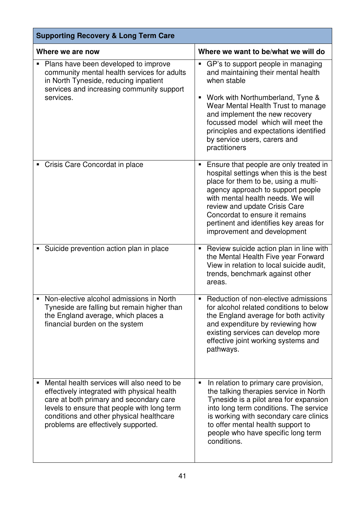| <b>Supporting Recovery &amp; Long Term Care</b>                                                                                                                                                                                                                         |                                                                                                                                                                                                                                                                                                                                                              |  |  |
|-------------------------------------------------------------------------------------------------------------------------------------------------------------------------------------------------------------------------------------------------------------------------|--------------------------------------------------------------------------------------------------------------------------------------------------------------------------------------------------------------------------------------------------------------------------------------------------------------------------------------------------------------|--|--|
| Where we are now                                                                                                                                                                                                                                                        | Where we want to be/what we will do                                                                                                                                                                                                                                                                                                                          |  |  |
| Plans have been developed to improve<br>community mental health services for adults<br>in North Tyneside, reducing inpatient<br>services and increasing community support<br>services.                                                                                  | GP's to support people in managing<br>$\blacksquare$<br>and maintaining their mental health<br>when stable<br>Work with Northumberland, Tyne &<br>ш<br>Wear Mental Health Trust to manage<br>and implement the new recovery<br>focussed model which will meet the<br>principles and expectations identified<br>by service users, carers and<br>practitioners |  |  |
| Crisis Care Concordat in place                                                                                                                                                                                                                                          | Ensure that people are only treated in<br>ш<br>hospital settings when this is the best<br>place for them to be, using a multi-<br>agency approach to support people<br>with mental health needs. We will<br>review and update Crisis Care<br>Concordat to ensure it remains<br>pertinent and identifies key areas for<br>improvement and development         |  |  |
| • Suicide prevention action plan in place                                                                                                                                                                                                                               | Review suicide action plan in line with<br>п<br>the Mental Health Five year Forward<br>View in relation to local suicide audit,<br>trends, benchmark against other<br>areas.                                                                                                                                                                                 |  |  |
| • Non-elective alcohol admissions in North<br>Tyneside are falling but remain higher than<br>the England average, which places a<br>financial burden on the system                                                                                                      | Reduction of non-elective admissions<br>for alcohol related conditions to below<br>the England average for both activity<br>and expenditure by reviewing how<br>existing services can develop more<br>effective joint working systems and<br>pathways.                                                                                                       |  |  |
| Mental health services will also need to be<br>effectively integrated with physical health<br>care at both primary and secondary care<br>levels to ensure that people with long term<br>conditions and other physical healthcare<br>problems are effectively supported. | In relation to primary care provision,<br>п<br>the talking therapies service in North<br>Tyneside is a pilot area for expansion<br>into long term conditions. The service<br>is working with secondary care clinics<br>to offer mental health support to<br>people who have specific long term<br>conditions.                                                |  |  |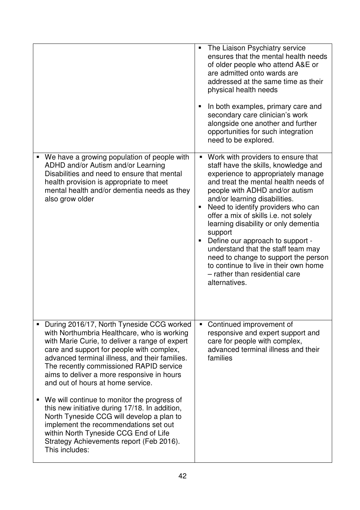|                                                                                                                                                                                                                                                                                                                                                                         | The Liaison Psychiatry service<br>ensures that the mental health needs<br>of older people who attend A&E or<br>are admitted onto wards are<br>addressed at the same time as their<br>physical health needs<br>In both examples, primary care and<br>٠<br>secondary care clinician's work<br>alongside one another and further<br>opportunities for such integration<br>need to be explored.                                                                                                                                                                                                                     |
|-------------------------------------------------------------------------------------------------------------------------------------------------------------------------------------------------------------------------------------------------------------------------------------------------------------------------------------------------------------------------|-----------------------------------------------------------------------------------------------------------------------------------------------------------------------------------------------------------------------------------------------------------------------------------------------------------------------------------------------------------------------------------------------------------------------------------------------------------------------------------------------------------------------------------------------------------------------------------------------------------------|
| We have a growing population of people with<br>ADHD and/or Autism and/or Learning<br>Disabilities and need to ensure that mental<br>health provision is appropriate to meet<br>mental health and/or dementia needs as they<br>also grow older                                                                                                                           | Work with providers to ensure that<br>$\blacksquare$<br>staff have the skills, knowledge and<br>experience to appropriately manage<br>and treat the mental health needs of<br>people with ADHD and/or autism<br>and/or learning disabilities.<br>Need to identify providers who can<br>offer a mix of skills i.e. not solely<br>learning disability or only dementia<br>support<br>Define our approach to support -<br>$\blacksquare$<br>understand that the staff team may<br>need to change to support the person<br>to continue to live in their own home<br>- rather than residential care<br>alternatives. |
| During 2016/17, North Tyneside CCG worked<br>with Northumbria Healthcare, who is working<br>with Marie Curie, to deliver a range of expert<br>care and support for people with complex,<br>advanced terminal illness, and their families.<br>The recently commissioned RAPID service<br>aims to deliver a more responsive in hours<br>and out of hours at home service. | Continued improvement of<br>responsive and expert support and<br>care for people with complex,<br>advanced terminal illness and their<br>families                                                                                                                                                                                                                                                                                                                                                                                                                                                               |
| We will continue to monitor the progress of<br>ш<br>this new initiative during 17/18. In addition,<br>North Tyneside CCG will develop a plan to<br>implement the recommendations set out<br>within North Tyneside CCG End of Life<br>Strategy Achievements report (Feb 2016).<br>This includes:                                                                         |                                                                                                                                                                                                                                                                                                                                                                                                                                                                                                                                                                                                                 |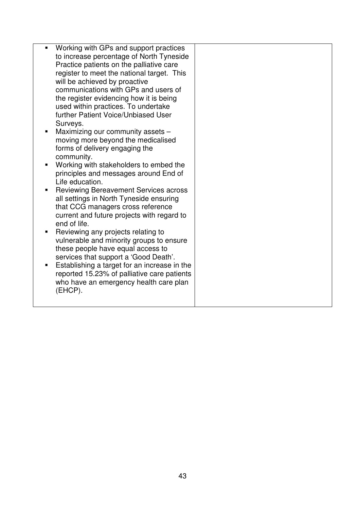| Working with GPs and support practices<br>to increase percentage of North Tyneside<br>Practice patients on the palliative care<br>register to meet the national target. This<br>will be achieved by proactive<br>communications with GPs and users of<br>the register evidencing how it is being<br>used within practices. To undertake<br>further Patient Voice/Unbiased User<br>Surveys.<br>Maximizing our community assets -<br>moving more beyond the medicalised<br>forms of delivery engaging the<br>community.<br>Working with stakeholders to embed the<br>principles and messages around End of<br>Life education.<br><b>Reviewing Bereavement Services across</b><br>all settings in North Tyneside ensuring<br>that CCG managers cross reference<br>current and future projects with regard to<br>end of life.<br>Reviewing any projects relating to<br>vulnerable and minority groups to ensure<br>these people have equal access to<br>services that support a 'Good Death'.<br>Establishing a target for an increase in the<br>reported 15.23% of palliative care patients<br>who have an emergency health care plan<br>(EHCP). |  |  |
|-----------------------------------------------------------------------------------------------------------------------------------------------------------------------------------------------------------------------------------------------------------------------------------------------------------------------------------------------------------------------------------------------------------------------------------------------------------------------------------------------------------------------------------------------------------------------------------------------------------------------------------------------------------------------------------------------------------------------------------------------------------------------------------------------------------------------------------------------------------------------------------------------------------------------------------------------------------------------------------------------------------------------------------------------------------------------------------------------------------------------------------------------|--|--|
|                                                                                                                                                                                                                                                                                                                                                                                                                                                                                                                                                                                                                                                                                                                                                                                                                                                                                                                                                                                                                                                                                                                                               |  |  |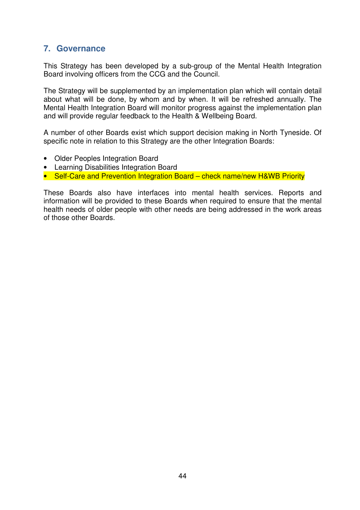## **7. Governance**

This Strategy has been developed by a sub-group of the Mental Health Integration Board involving officers from the CCG and the Council.

The Strategy will be supplemented by an implementation plan which will contain detail about what will be done, by whom and by when. It will be refreshed annually. The Mental Health Integration Board will monitor progress against the implementation plan and will provide regular feedback to the Health & Wellbeing Board.

A number of other Boards exist which support decision making in North Tyneside. Of specific note in relation to this Strategy are the other Integration Boards:

- Older Peoples Integration Board
- Learning Disabilities Integration Board
- Self-Care and Prevention Integration Board check name/new H&WB Priority

These Boards also have interfaces into mental health services. Reports and information will be provided to these Boards when required to ensure that the mental health needs of older people with other needs are being addressed in the work areas of those other Boards.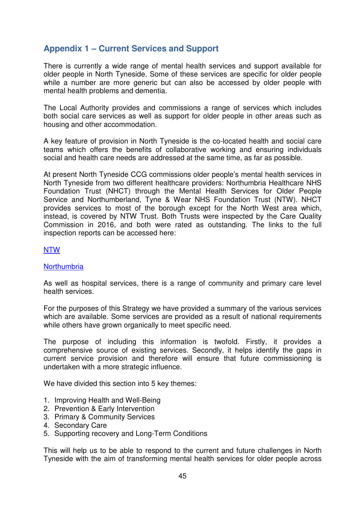## **Appendix 1 – Current Services and Support**

There is currently a wide range of mental health services and support available for older people in North Tyneside. Some of these services are specific for older people while a number are more generic but can also be accessed by older people with mental health problems and dementia.

The Local Authority provides and commissions a range of services which includes both social care services as well as support for older people in other areas such as housing and other accommodation.

A key feature of provision in North Tyneside is the co-located health and social care teams which offers the benefits of collaborative working and ensuring individuals social and health care needs are addressed at the same time, as far as possible.

At present North Tyneside CCG commissions older people's mental health services in North Tyneside from two different healthcare providers: Northumbria Healthcare NHS Foundation Trust (NHCT) through the Mental Health Services for Older People Service and Northumberland, Tyne & Wear NHS Foundation Trust (NTW). NHCT provides services to most of the borough except for the North West area which, instead, is covered by NTW Trust. Both Trusts were inspected by the Care Quality Commission in 2016, and both were rated as outstanding. The links to the full inspection reports can be accessed here:

#### NTW

#### **Northumbria**

As well as hospital services, there is a range of community and primary care level health services.

For the purposes of this Strategy we have provided a summary of the various services which are available. Some services are provided as a result of national requirements while others have grown organically to meet specific need.

The purpose of including this information is twofold. Firstly, it provides a comprehensive source of existing services. Secondly, it helps identify the gaps in current service provision and therefore will ensure that future commissioning is undertaken with a more strategic influence.

We have divided this section into 5 key themes:

- 1. Improving Health and Well-Being
- 2. Prevention & Early Intervention
- 3. Primary & Community Services
- 4. Secondary Care
- 5. Supporting recovery and Long-Term Conditions

This will help us to be able to respond to the current and future challenges in North Tyneside with the aim of transforming mental health services for older people across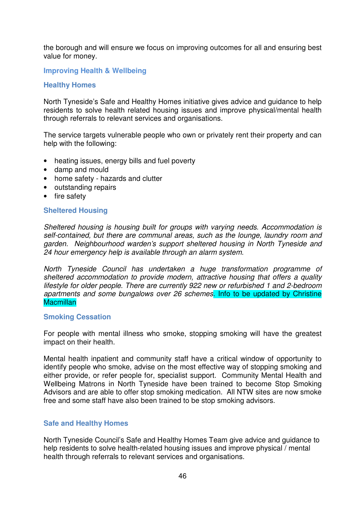the borough and will ensure we focus on improving outcomes for all and ensuring best value for money.

#### **Improving Health & Wellbeing**

#### **Healthy Homes**

North Tyneside's Safe and Healthy Homes initiative gives advice and guidance to help residents to solve health related housing issues and improve physical/mental health through referrals to relevant services and organisations.

The service targets vulnerable people who own or privately rent their property and can help with the following:

- heating issues, energy bills and fuel poverty
- damp and mould
- home safety hazards and clutter
- outstanding repairs
- fire safety

#### **Sheltered Housing**

Sheltered housing is housing built for groups with varying needs. Accommodation is self-contained, but there are communal areas, such as the lounge, laundry room and garden. Neighbourhood warden's support sheltered housing in North Tyneside and 24 hour emergency help is available through an alarm system.

North Tyneside Council has undertaken a huge transformation programme of sheltered accommodation to provide modern, attractive housing that offers a quality lifestyle for older people. There are currently 922 new or refurbished 1 and 2-bedroom apartments and some bungalows over 26 schemes. Info to be updated by Christine **Macmillan** 

#### **Smoking Cessation**

For people with mental illness who smoke, stopping smoking will have the greatest impact on their health.

Mental health inpatient and community staff have a critical window of opportunity to identify people who smoke, advise on the most effective way of stopping smoking and either provide, or refer people for, specialist support. Community Mental Health and Wellbeing Matrons in North Tyneside have been trained to become Stop Smoking Advisors and are able to offer stop smoking medication. All NTW sites are now smoke free and some staff have also been trained to be stop smoking advisors.

#### **Safe and Healthy Homes**

North Tyneside Council's Safe and Healthy Homes Team give advice and guidance to help residents to solve health-related housing issues and improve physical / mental health through referrals to relevant services and organisations.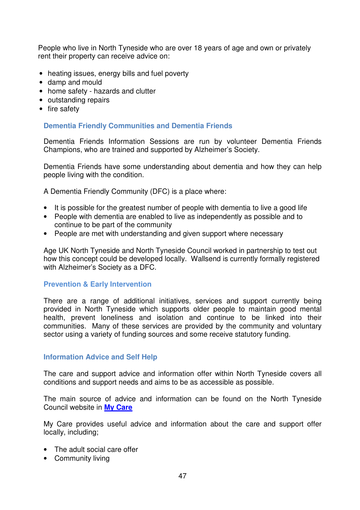People who live in North Tyneside who are over 18 years of age and own or privately rent their property can receive advice on:

- heating issues, energy bills and fuel poverty
- damp and mould
- home safety hazards and clutter
- outstanding repairs
- fire safety

#### **Dementia Friendly Communities and Dementia Friends**

Dementia Friends Information Sessions are run by volunteer Dementia Friends Champions, who are trained and supported by Alzheimer's Society.

Dementia Friends have some understanding about dementia and how they can help people living with the condition.

A Dementia Friendly Community (DFC) is a place where:

- It is possible for the greatest number of people with dementia to live a good life
- People with dementia are enabled to live as independently as possible and to continue to be part of the community
- People are met with understanding and given support where necessary

Age UK North Tyneside and North Tyneside Council worked in partnership to test out how this concept could be developed locally. Wallsend is currently formally registered with Alzheimer's Society as a DFC.

#### **Prevention & Early Intervention**

There are a range of additional initiatives, services and support currently being provided in North Tyneside which supports older people to maintain good mental health, prevent loneliness and isolation and continue to be linked into their communities. Many of these services are provided by the community and voluntary sector using a variety of funding sources and some receive statutory funding.

#### **Information Advice and Self Help**

The care and support advice and information offer within North Tyneside covers all conditions and support needs and aims to be as accessible as possible.

The main source of advice and information can be found on the North Tyneside Council website in **My Care**

My Care provides useful advice and information about the care and support offer locally, including;

- The adult social care offer
- Community living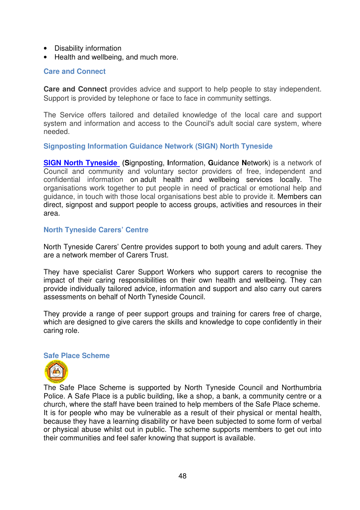- Disability information
- Health and wellbeing, and much more.

#### **Care and Connect**

**Care and Connect** provides advice and support to help people to stay independent. Support is provided by telephone or face to face in community settings.

The Service offers tailored and detailed knowledge of the local care and support system and information and access to the Council's adult social care system, where needed.

#### **Signposting Information Guidance Network (SIGN) North Tyneside**

**SIGN North Tyneside (S**ignposting, **I**nformation, **G**uidance **N**etwork) is a network of Council and community and voluntary sector providers of free, independent and confidential information on adult health and wellbeing services locally. The organisations work together to put people in need of practical or emotional help and guidance, in touch with those local organisations best able to provide it. Members can direct, signpost and support people to access groups, activities and resources in their area.

#### **North Tyneside Carers' Centre**

North Tyneside Carers' Centre provides support to both young and adult carers. They are a network member of Carers Trust.

They have specialist Carer Support Workers who support carers to recognise the impact of their caring responsibilities on their own health and wellbeing. They can provide individually tailored advice, information and support and also carry out carers assessments on behalf of North Tyneside Council.

They provide a range of peer support groups and training for carers free of charge, which are designed to give carers the skills and knowledge to cope confidently in their caring role.

#### **Safe Place Scheme**



The Safe Place Scheme is supported by North Tyneside Council and Northumbria Police. A Safe Place is a public building, like a shop, a bank, a community centre or a church, where the staff have been trained to help members of the Safe Place scheme. It is for people who may be vulnerable as a result of their physical or mental health, because they have a learning disability or have been subjected to some form of verbal or physical abuse whilst out in public. The scheme supports members to get out into their communities and feel safer knowing that support is available.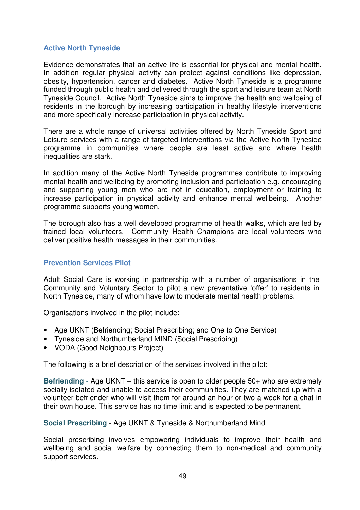## **Active North Tyneside**

Evidence demonstrates that an active life is essential for physical and mental health. In addition regular physical activity can protect against conditions like depression, obesity, hypertension, cancer and diabetes. Active North Tyneside is a programme funded through public health and delivered through the sport and leisure team at North Tyneside Council. Active North Tyneside aims to improve the health and wellbeing of residents in the borough by increasing participation in healthy lifestyle interventions and more specifically increase participation in physical activity.

There are a whole range of universal activities offered by North Tyneside Sport and Leisure services with a range of targeted interventions via the Active North Tyneside programme in communities where people are least active and where health inequalities are stark.

In addition many of the Active North Tyneside programmes contribute to improving mental health and wellbeing by promoting inclusion and participation e.g. encouraging and supporting young men who are not in education, employment or training to increase participation in physical activity and enhance mental wellbeing. Another programme supports young women.

The borough also has a well developed programme of health walks, which are led by trained local volunteers. Community Health Champions are local volunteers who deliver positive health messages in their communities.

## **Prevention Services Pilot**

Adult Social Care is working in partnership with a number of organisations in the Community and Voluntary Sector to pilot a new preventative 'offer' to residents in North Tyneside, many of whom have low to moderate mental health problems.

Organisations involved in the pilot include:

- Age UKNT (Befriending; Social Prescribing; and One to One Service)
- Tyneside and Northumberland MIND (Social Prescribing)
- VODA (Good Neighbours Project)

The following is a brief description of the services involved in the pilot:

**Befriending** - Age UKNT – this service is open to older people 50+ who are extremely socially isolated and unable to access their communities. They are matched up with a volunteer befriender who will visit them for around an hour or two a week for a chat in their own house. This service has no time limit and is expected to be permanent.

**Social Prescribing** - Age UKNT & Tyneside & Northumberland Mind

Social prescribing involves empowering individuals to improve their health and wellbeing and social welfare by connecting them to non-medical and community support services.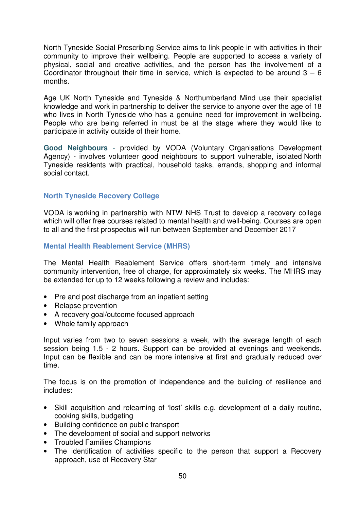North Tyneside Social Prescribing Service aims to link people in with activities in their community to improve their wellbeing. People are supported to access a variety of physical, social and creative activities, and the person has the involvement of a Coordinator throughout their time in service, which is expected to be around  $3 - 6$ months.

Age UK North Tyneside and Tyneside & Northumberland Mind use their specialist knowledge and work in partnership to deliver the service to anyone over the age of 18 who lives in North Tyneside who has a genuine need for improvement in wellbeing. People who are being referred in must be at the stage where they would like to participate in activity outside of their home.

**Good Neighbours** - provided by VODA (Voluntary Organisations Development Agency) - involves volunteer good neighbours to support vulnerable, isolated North Tyneside residents with practical, household tasks, errands, shopping and informal social contact.

#### **North Tyneside Recovery College**

VODA is working in partnership with NTW NHS Trust to develop a recovery college which will offer free courses related to mental health and well-being. Courses are open to all and the first prospectus will run between September and December 2017

#### **Mental Health Reablement Service (MHRS)**

The Mental Health Reablement Service offers short-term timely and intensive community intervention, free of charge, for approximately six weeks. The MHRS may be extended for up to 12 weeks following a review and includes:

- Pre and post discharge from an inpatient setting
- Relapse prevention
- A recovery goal/outcome focused approach
- Whole family approach

Input varies from two to seven sessions a week, with the average length of each session being 1.5 - 2 hours. Support can be provided at evenings and weekends. Input can be flexible and can be more intensive at first and gradually reduced over time.

The focus is on the promotion of independence and the building of resilience and includes:

- Skill acquisition and relearning of 'lost' skills e.g. development of a daily routine, cooking skills, budgeting
- Building confidence on public transport
- The development of social and support networks
- Troubled Families Champions
- The identification of activities specific to the person that support a Recovery approach, use of Recovery Star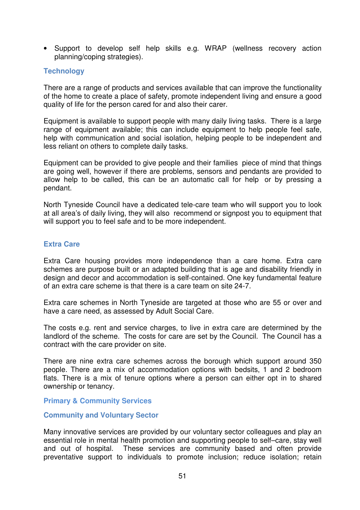• Support to develop self help skills e.g. WRAP (wellness recovery action planning/coping strategies).

#### **Technology**

There are a range of products and services available that can improve the functionality of the home to create a place of safety, promote independent living and ensure a good quality of life for the person cared for and also their carer.

Equipment is available to support people with many daily living tasks. There is a large range of equipment available; this can include equipment to help people feel safe, help with communication and social isolation, helping people to be independent and less reliant on others to complete daily tasks.

Equipment can be provided to give people and their families piece of mind that things are going well, however if there are problems, sensors and pendants are provided to allow help to be called, this can be an automatic call for help or by pressing a pendant.

North Tyneside Council have a dedicated tele-care team who will support you to look at all area's of daily living, they will also recommend or signpost you to equipment that will support you to feel safe and to be more independent.

#### **Extra Care**

Extra Care housing provides more independence than a care home. Extra care schemes are purpose built or an adapted building that is age and disability friendly in design and decor and accommodation is self-contained. One key fundamental feature of an extra care scheme is that there is a care team on site 24-7.

Extra care schemes in North Tyneside are targeted at those who are 55 or over and have a care need, as assessed by Adult Social Care.

The costs e.g. rent and service charges, to live in extra care are determined by the landlord of the scheme. The costs for care are set by the Council. The Council has a contract with the care provider on site.

There are nine extra care schemes across the borough which support around 350 people. There are a mix of accommodation options with bedsits, 1 and 2 bedroom flats. There is a mix of tenure options where a person can either opt in to shared ownership or tenancy.

#### **Primary & Community Services**

#### **Community and Voluntary Sector**

Many innovative services are provided by our voluntary sector colleagues and play an essential role in mental health promotion and supporting people to self–care, stay well and out of hospital. These services are community based and often provide preventative support to individuals to promote inclusion; reduce isolation; retain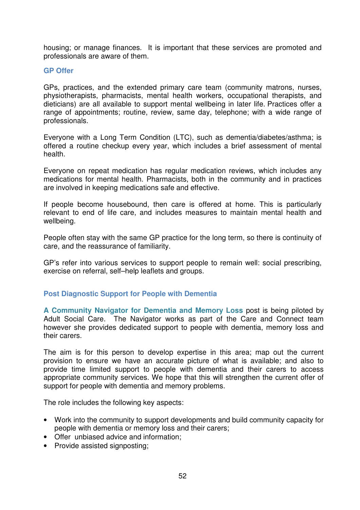housing; or manage finances. It is important that these services are promoted and professionals are aware of them.

#### **GP Offer**

GPs, practices, and the extended primary care team (community matrons, nurses, physiotherapists, pharmacists, mental health workers, occupational therapists, and dieticians) are all available to support mental wellbeing in later life. Practices offer a range of appointments; routine, review, same day, telephone; with a wide range of professionals.

Everyone with a Long Term Condition (LTC), such as dementia/diabetes/asthma; is offered a routine checkup every year, which includes a brief assessment of mental health.

Everyone on repeat medication has regular medication reviews, which includes any medications for mental health. Pharmacists, both in the community and in practices are involved in keeping medications safe and effective.

If people become housebound, then care is offered at home. This is particularly relevant to end of life care, and includes measures to maintain mental health and wellbeing.

People often stay with the same GP practice for the long term, so there is continuity of care, and the reassurance of familiarity.

GP's refer into various services to support people to remain well: social prescribing, exercise on referral, self–help leaflets and groups.

#### **Post Diagnostic Support for People with Dementia**

**A Community Navigator for Dementia and Memory Loss** post is being piloted by Adult Social Care. The Navigator works as part of the Care and Connect team however she provides dedicated support to people with dementia, memory loss and their carers.

The aim is for this person to develop expertise in this area; map out the current provision to ensure we have an accurate picture of what is available; and also to provide time limited support to people with dementia and their carers to access appropriate community services. We hope that this will strengthen the current offer of support for people with dementia and memory problems.

The role includes the following key aspects:

- Work into the community to support developments and build community capacity for people with dementia or memory loss and their carers;
- Offer unbiased advice and information;
- Provide assisted signposting: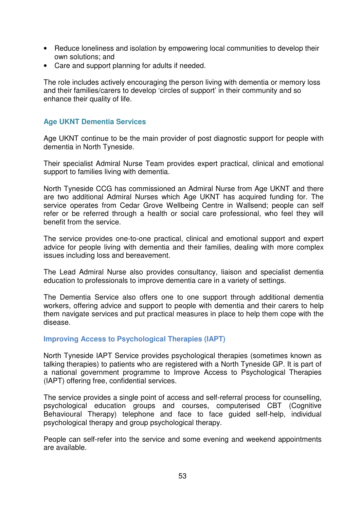- Reduce loneliness and isolation by empowering local communities to develop their own solutions; and
- Care and support planning for adults if needed.

The role includes actively encouraging the person living with dementia or memory loss and their families/carers to develop 'circles of support' in their community and so enhance their quality of life.

## **Age UKNT Dementia Services**

Age UKNT continue to be the main provider of post diagnostic support for people with dementia in North Tyneside.

Their specialist Admiral Nurse Team provides expert practical, clinical and emotional support to families living with dementia.

North Tyneside CCG has commissioned an Admiral Nurse from Age UKNT and there are two additional Admiral Nurses which Age UKNT has acquired funding for. The service operates from Cedar Grove Wellbeing Centre in Wallsend; people can self refer or be referred through a health or social care professional, who feel they will benefit from the service.

The service provides one-to-one practical, clinical and emotional support and expert advice for people living with dementia and their families, dealing with more complex issues including loss and bereavement.

The Lead Admiral Nurse also provides consultancy, liaison and specialist dementia education to professionals to improve dementia care in a variety of settings.

The Dementia Service also offers one to one support through additional dementia workers, offering advice and support to people with dementia and their carers to help them navigate services and put practical measures in place to help them cope with the disease.

#### **Improving Access to Psychological Therapies (IAPT)**

North Tyneside IAPT Service provides psychological therapies (sometimes known as talking therapies) to patients who are registered with a North Tyneside GP. It is part of a national government programme to Improve Access to Psychological Therapies (IAPT) offering free, confidential services.

The service provides a single point of access and self-referral process for counselling, psychological education groups and courses, computerised CBT (Cognitive Behavioural Therapy) telephone and face to face guided self-help, individual psychological therapy and group psychological therapy.

People can self-refer into the service and some evening and weekend appointments are available.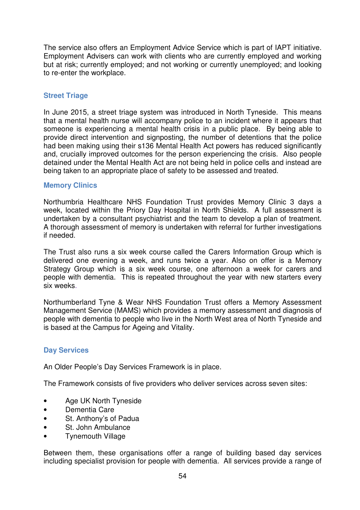The service also offers an Employment Advice Service which is part of IAPT initiative. Employment Advisers can work with clients who are currently employed and working but at risk; currently employed; and not working or currently unemployed; and looking to re-enter the workplace.

#### **Street Triage**

In June 2015, a street triage system was introduced in North Tyneside. This means that a mental health nurse will accompany police to an incident where it appears that someone is experiencing a mental health crisis in a public place. By being able to provide direct intervention and signposting, the number of detentions that the police had been making using their s136 Mental Health Act powers has reduced significantly and, crucially improved outcomes for the person experiencing the crisis. Also people detained under the Mental Health Act are not being held in police cells and instead are being taken to an appropriate place of safety to be assessed and treated.

#### **Memory Clinics**

Northumbria Healthcare NHS Foundation Trust provides Memory Clinic 3 days a week, located within the Priory Day Hospital in North Shields. A full assessment is undertaken by a consultant psychiatrist and the team to develop a plan of treatment. A thorough assessment of memory is undertaken with referral for further investigations if needed.

The Trust also runs a six week course called the Carers Information Group which is delivered one evening a week, and runs twice a year. Also on offer is a Memory Strategy Group which is a six week course, one afternoon a week for carers and people with dementia. This is repeated throughout the year with new starters every six weeks.

Northumberland Tyne & Wear NHS Foundation Trust offers a Memory Assessment Management Service (MAMS) which provides a memory assessment and diagnosis of people with dementia to people who live in the North West area of North Tyneside and is based at the Campus for Ageing and Vitality.

## **Day Services**

An Older People's Day Services Framework is in place.

The Framework consists of five providers who deliver services across seven sites:

- Age UK North Tyneside
- Dementia Care
- St. Anthony's of Padua
- St. John Ambulance
- Tynemouth Village

Between them, these organisations offer a range of building based day services including specialist provision for people with dementia. All services provide a range of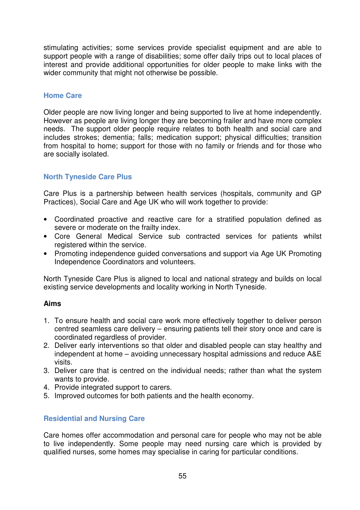stimulating activities; some services provide specialist equipment and are able to support people with a range of disabilities; some offer daily trips out to local places of interest and provide additional opportunities for older people to make links with the wider community that might not otherwise be possible.

#### **Home Care**

Older people are now living longer and being supported to live at home independently. However as people are living longer they are becoming frailer and have more complex needs. The support older people require relates to both health and social care and includes strokes; dementia; falls; medication support; physical difficulties; transition from hospital to home; support for those with no family or friends and for those who are socially isolated.

## **North Tyneside Care Plus**

Care Plus is a partnership between health services (hospitals, community and GP Practices), Social Care and Age UK who will work together to provide:

- Coordinated proactive and reactive care for a stratified population defined as severe or moderate on the frailty index.
- Core General Medical Service sub contracted services for patients whilst registered within the service.
- Promoting independence guided conversations and support via Age UK Promoting Independence Coordinators and volunteers.

North Tyneside Care Plus is aligned to local and national strategy and builds on local existing service developments and locality working in North Tyneside.

#### **Aims**

- 1. To ensure health and social care work more effectively together to deliver person centred seamless care delivery – ensuring patients tell their story once and care is coordinated regardless of provider.
- 2. Deliver early interventions so that older and disabled people can stay healthy and independent at home – avoiding unnecessary hospital admissions and reduce A&E visits.
- 3. Deliver care that is centred on the individual needs; rather than what the system wants to provide.
- 4. Provide integrated support to carers.
- 5. Improved outcomes for both patients and the health economy.

#### **Residential and Nursing Care**

Care homes offer accommodation and personal care for people who may not be able to live independently. Some people may need nursing care which is provided by qualified nurses, some homes may specialise in caring for particular conditions.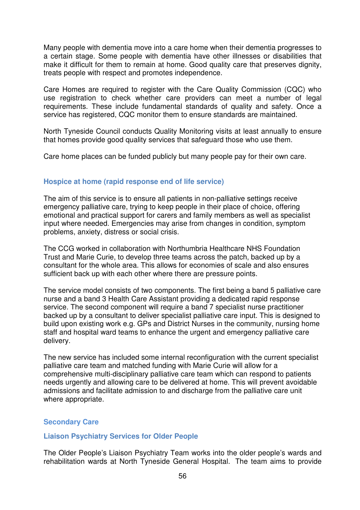Many people with dementia move into a care home when their dementia progresses to a certain stage. Some people with dementia have other illnesses or disabilities that make it difficult for them to remain at home. Good quality care that preserves dignity, treats people with respect and promotes independence.

Care Homes are required to register with the Care Quality Commission (CQC) who use registration to check whether care providers can meet a number of legal requirements. These include fundamental standards of quality and safety. Once a service has registered, CQC monitor them to ensure standards are maintained.

North Tyneside Council conducts Quality Monitoring visits at least annually to ensure that homes provide good quality services that safeguard those who use them.

Care home places can be funded publicly but many people pay for their own care.

#### **Hospice at home (rapid response end of life service)**

The aim of this service is to ensure all patients in non-palliative settings receive emergency palliative care, trying to keep people in their place of choice, offering emotional and practical support for carers and family members as well as specialist input where needed. Emergencies may arise from changes in condition, symptom problems, anxiety, distress or social crisis.

The CCG worked in collaboration with Northumbria Healthcare NHS Foundation Trust and Marie Curie, to develop three teams across the patch, backed up by a consultant for the whole area. This allows for economies of scale and also ensures sufficient back up with each other where there are pressure points.

The service model consists of two components. The first being a band 5 palliative care nurse and a band 3 Health Care Assistant providing a dedicated rapid response service. The second component will require a band 7 specialist nurse practitioner backed up by a consultant to deliver specialist palliative care input. This is designed to build upon existing work e.g. GPs and District Nurses in the community, nursing home staff and hospital ward teams to enhance the urgent and emergency palliative care delivery.

The new service has included some internal reconfiguration with the current specialist palliative care team and matched funding with Marie Curie will allow for a comprehensive multi-disciplinary palliative care team which can respond to patients needs urgently and allowing care to be delivered at home. This will prevent avoidable admissions and facilitate admission to and discharge from the palliative care unit where appropriate.

#### **Secondary Care**

#### **Liaison Psychiatry Services for Older People**

The Older People's Liaison Psychiatry Team works into the older people's wards and rehabilitation wards at North Tyneside General Hospital. The team aims to provide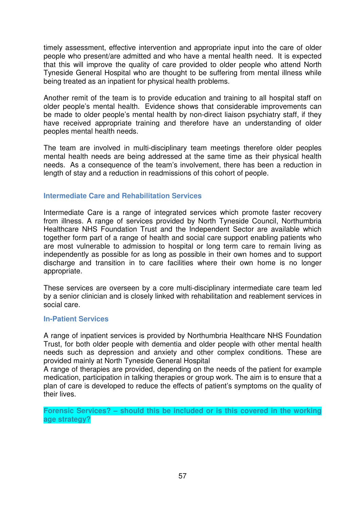timely assessment, effective intervention and appropriate input into the care of older people who present/are admitted and who have a mental health need. It is expected that this will improve the quality of care provided to older people who attend North Tyneside General Hospital who are thought to be suffering from mental illness while being treated as an inpatient for physical health problems.

Another remit of the team is to provide education and training to all hospital staff on older people's mental health. Evidence shows that considerable improvements can be made to older people's mental health by non-direct liaison psychiatry staff, if they have received appropriate training and therefore have an understanding of older peoples mental health needs.

The team are involved in multi-disciplinary team meetings therefore older peoples mental health needs are being addressed at the same time as their physical health needs. As a consequence of the team's involvement, there has been a reduction in length of stay and a reduction in readmissions of this cohort of people.

## **Intermediate Care and Rehabilitation Services**

Intermediate Care is a range of integrated services which promote faster recovery from illness. A range of services provided by North Tyneside Council, Northumbria Healthcare NHS Foundation Trust and the Independent Sector are available which together form part of a range of health and social care support enabling patients who are most vulnerable to admission to hospital or long term care to remain living as independently as possible for as long as possible in their own homes and to support discharge and transition in to care facilities where their own home is no longer appropriate.

These services are overseen by a core multi-disciplinary intermediate care team led by a senior clinician and is closely linked with rehabilitation and reablement services in social care.

#### **In-Patient Services**

A range of inpatient services is provided by Northumbria Healthcare NHS Foundation Trust, for both older people with dementia and older people with other mental health needs such as depression and anxiety and other complex conditions. These are provided mainly at North Tyneside General Hospital

A range of therapies are provided, depending on the needs of the patient for example medication, participation in talking therapies or group work. The aim is to ensure that a plan of care is developed to reduce the effects of patient's symptoms on the quality of their lives.

**Forensic Services? – should this be included or is this covered in the working age strategy?**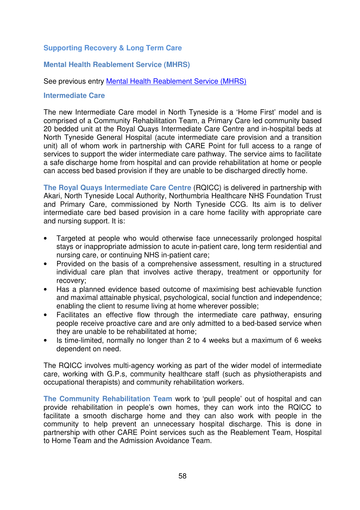## **Supporting Recovery & Long Term Care**

#### **Mental Health Reablement Service (MHRS)**

#### See previous entry Mental Health Reablement Service (MHRS)

#### **Intermediate Care**

The new Intermediate Care model in North Tyneside is a 'Home First' model and is comprised of a Community Rehabilitation Team, a Primary Care led community based 20 bedded unit at the Royal Quays Intermediate Care Centre and in-hospital beds at North Tyneside General Hospital (acute intermediate care provision and a transition unit) all of whom work in partnership with CARE Point for full access to a range of services to support the wider intermediate care pathway. The service aims to facilitate a safe discharge home from hospital and can provide rehabilitation at home or people can access bed based provision if they are unable to be discharged directly home.

**The Royal Quays Intermediate Care Centre** (RQICC) is delivered in partnership with Akari, North Tyneside Local Authority, Northumbria Healthcare NHS Foundation Trust and Primary Care, commissioned by North Tyneside CCG. Its aim is to deliver intermediate care bed based provision in a care home facility with appropriate care and nursing support. It is:

- Targeted at people who would otherwise face unnecessarily prolonged hospital stays or inappropriate admission to acute in-patient care, long term residential and nursing care, or continuing NHS in-patient care;
- Provided on the basis of a comprehensive assessment, resulting in a structured individual care plan that involves active therapy, treatment or opportunity for recovery;
- Has a planned evidence based outcome of maximising best achievable function and maximal attainable physical, psychological, social function and independence; enabling the client to resume living at home wherever possible;
- Facilitates an effective flow through the intermediate care pathway, ensuring people receive proactive care and are only admitted to a bed-based service when they are unable to be rehabilitated at home;
- Is time-limited, normally no longer than 2 to 4 weeks but a maximum of 6 weeks dependent on need.

The RQICC involves multi-agency working as part of the wider model of intermediate care, working with G.P.s, community healthcare staff (such as physiotherapists and occupational therapists) and community rehabilitation workers.

**The Community Rehabilitation Team** work to 'pull people' out of hospital and can provide rehabilitation in people's own homes, they can work into the RQICC to facilitate a smooth discharge home and they can also work with people in the community to help prevent an unnecessary hospital discharge. This is done in partnership with other CARE Point services such as the Reablement Team, Hospital to Home Team and the Admission Avoidance Team.